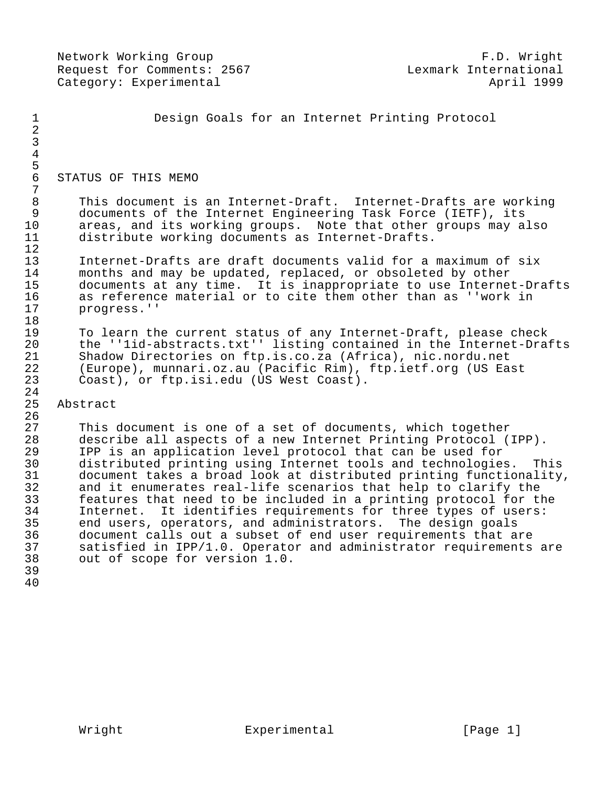Network Working Group **F.D. Wight** Request for Comments: 2567<br>Category: Experimental april 1999 Category: Experimental 1 Design Goals for an Internet Printing Protocol 2 3 4 5<br>6 6 STATUS OF THIS MEMO  $\frac{7}{8}$ 8 This document is an Internet-Draft. Internet-Drafts are working<br>9 documents of the Internet Engineering Task Force (IETF), its 9 documents of the Internet Engineering Task Force (IETF), its<br>10 areas, and its working groups. Note that other groups may a 10 areas, and its working groups. Note that other groups may also<br>11 distribute working documents as Internet-Drafts. distribute working documents as Internet-Drafts.  $\frac{12}{13}$ 13 Internet-Drafts are draft documents valid for a maximum of six<br>14 months and may be updated, replaced, or obsoleted by other 14 months and may be updated, replaced, or obsoleted by other<br>15 documents at any time. It is inappropriate to use Interne 15 documents at any time. It is inappropriate to use Internet-Drafts<br>16 as reference material or to cite them other than as ''work in 16 as reference material or to cite them other than as ''work in 17 progress.'' 18<br>19 19 To learn the current status of any Internet-Draft, please check<br>20 the ''lid-abstracts.txt'' listing contained in the Internet-Dra: 20 the ''1id-abstracts.txt'' listing contained in the Internet-Drafts<br>21 Shadow Directories on ftp.is.co.za (Africa), nic.nordu.net 21 Shadow Directories on ftp.is.co.za (Africa), nic.nordu.net<br>22 (Europe), munnari.oz.au (Pacific Rim), ftp.ietf.org (US Ea 22 (Europe), munnari.oz.au (Pacific Rim), ftp.ietf.org (US East Coast), or ftp.isi.edu (US West Coast).  $\frac{24}{25}$ Abstract  $\frac{26}{27}$ 27 This document is one of a set of documents, which together<br>28 describe all aspects of a new Internet Printing Protocol (1 28 describe all aspects of a new Internet Printing Protocol (IPP).<br>29 IPP is an application level protocol that can be used for 29 IPP is an application level protocol that can be used for 30 distributed printing using Internet tools and technologies. This<br>31 document takes a broad look at distributed printing functionality, 31 document takes a broad look at distributed printing functionality,<br>32 and it enumerates real-life scenarios that help to clarify the 32 and it enumerates real-life scenarios that help to clarify the 33 features that need to be included in a printing protocol for the<br>34 Internet. It identifies requirements for three types of users: 34 Internet. It identifies requirements for three types of users:<br>35 end users, operators, and administrators. The design goals 35 end users, operators, and administrators. The design goals<br>36 document calls out a subset of end user requirements that a 36 document calls out a subset of end user requirements that are<br>37 satisfied in IPP/1.0. Operator and administrator requirements 37 satisfied in IPP/1.0. Operator and administrator requirements are<br>38 out of scope for version 1.0. out of scope for version 1.0.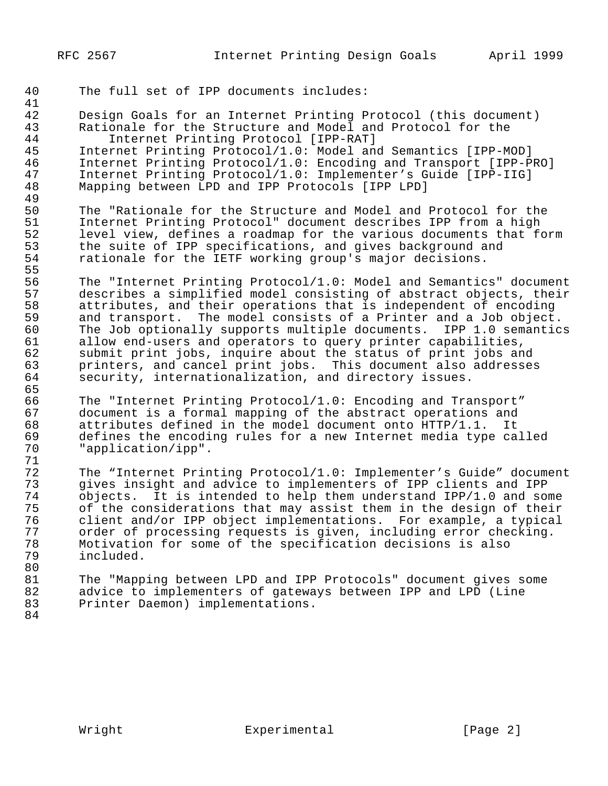40 The full set of IPP documents includes:

41 42 Design Goals for an Internet Printing Protocol (this document)<br>43 Rationale for the Structure and Model and Protocol for the 43 Rationale for the Structure and Model and Protocol for the<br>44 Thernet Printing Protocol [IPP-RAT] 44 Internet Printing Protocol [IPP-RAT]<br>45 Internet Printing Protocol/1.0: Model and 45 Internet Printing Protocol/1.0: Model and Semantics [IPP-MOD]<br>46 Internet Printing Protocol/1.0: Encoding and Transport [IPP-P] 46 Internet Printing Protocol/1.0: Encoding and Transport [IPP-PRO]<br>47 Internet Printing Protocol/1.0: Implementer's Guide [IPP-IIG] 47 Internet Printing Protocol/1.0: Implementer's Guide [IPP-IIG]<br>48 Mapping between LPD and IPP Protocols [IPP LPD] Mapping between LPD and IPP Protocols [IPP LPD] 49<br>50 50 The "Rationale for the Structure and Model and Protocol for the<br>51 Internet Printing Protocol" document describes IPP from a high 51 Internet Printing Protocol" document describes IPP from a high<br>52 level view, defines a roadmap for the various documents that fo 52 level view, defines a roadmap for the various documents that form<br>53 the suite of IPP specifications, and gives background and 53 the suite of IPP specifications, and gives background and<br>54 Fationale for the IETF working group's major decisions. rationale for the IETF working group's major decisions. 55<br>56 56 The "Internet Printing Protocol/1.0: Model and Semantics" document<br>57 describes a simplified model consisting of abstract objects, their 57 describes a simplified model consisting of abstract objects, their<br>58 attributes, and their operations that is independent of encoding 58 attributes, and their operations that is independent of encoding<br>59 and transport. The model consists of a Printer and a Job object. 59 and transport. The model consists of a Printer and a Job object.<br>60 The Job optionally supports multiple documents. IPP 1.0 semantics 60 The Job optionally supports multiple documents. IPP 1.0 semantics<br>61 allow end-users and operators to query printer capabilities, 61 allow end-users and operators to query printer capabilities,<br>62 submit print jobs, inquire about the status of print jobs and 62 submit print jobs, inquire about the status of print jobs and<br>63 printers, and cancel print jobs. This document also addresses 63 printers, and cancel print jobs. This document also addresses<br>64 security, internationalization, and directory issues. security, internationalization, and directory issues. 65<br>66 66 The "Internet Printing Protocol/1.0: Encoding and Transport" 67 document is a formal mapping of the abstract operations and<br>68 attributes defined in the model document onto HTTP/1.1. It 68 attributes defined in the model document onto HTTP/1.1. It 69 defines the encoding rules for a new Internet media type called<br>70 Tapplication/ipp". "application/ipp". 71 72 The "Internet Printing Protocol/1.0: Implementer's Guide" document 73 gives insight and advice to implementers of IPP clients and IPP 74 objects. It is intended to help them understand IPP/1.0 and some<br>75 of the considerations that may assist them in the design of their 75 of the considerations that may assist them in the design of their<br>76 client and/or IPP object implementations. For example, a typical 76 client and/or IPP object implementations. For example, a typical<br>77 order of processing requests is given, including error checking. 77 order of processing requests is given, including error checking.<br>78 Motivation for some of the specification decisions is also 78 Motivation for some of the specification decisions is also included. 80<br>81 81 The "Mapping between LPD and IPP Protocols" document gives some<br>82 advice to implementers of gateways between IPP and LPD (Line 82 advice to implementers of gateways between IPP and LPD (Line<br>83 Printer Daemon) implementations. Printer Daemon) implementations. 84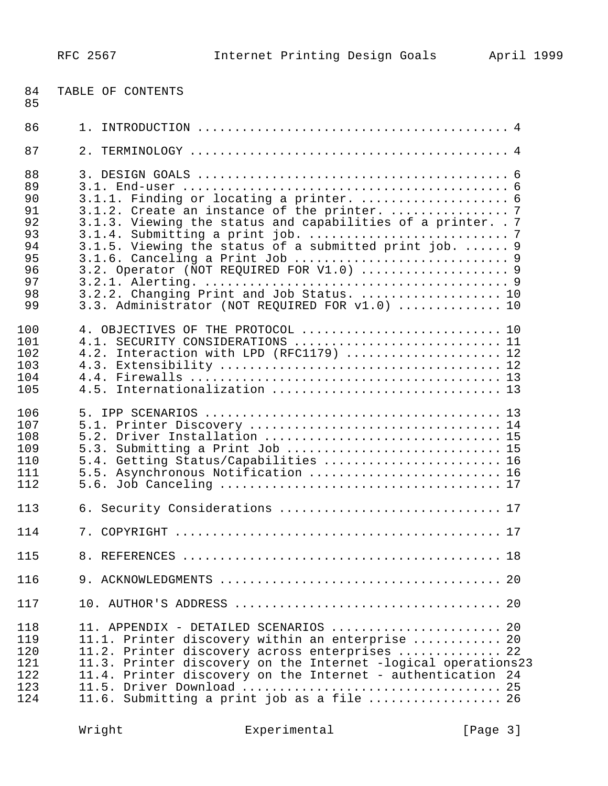| 84<br>85                                                             | TABLE OF CONTENTS                                                                                                                                                                                                                                                                                                         |
|----------------------------------------------------------------------|---------------------------------------------------------------------------------------------------------------------------------------------------------------------------------------------------------------------------------------------------------------------------------------------------------------------------|
| 86                                                                   |                                                                                                                                                                                                                                                                                                                           |
| 87                                                                   | 2.                                                                                                                                                                                                                                                                                                                        |
| 88<br>89<br>90<br>91<br>92<br>93<br>94<br>95<br>96<br>97<br>98<br>99 | 3.1.2. Create an instance of the printer.  7<br>3.1.3. Viewing the status and capabilities of a printer. . 7<br>3.1.5. Viewing the status of a submitted print job.  9<br>3.2. Operator (NOT REQUIRED FOR V1.0)  9<br>3.2.2. Changing Print and Job Status.  10<br>3.3. Administrator (NOT REQUIRED FOR v1.0)  10         |
| 100<br>101<br>102<br>103<br>104<br>105                               | 4. OBJECTIVES OF THE PROTOCOL  10<br>4.1. SECURITY CONSIDERATIONS  11<br>4.2. Interaction with LPD (RFC1179)  12<br>Internationalization  13<br>4.5.                                                                                                                                                                      |
| 106<br>107<br>108<br>109<br>110<br>111<br>112                        | 5.2. Driver Installation  15<br>5.3. Submitting a Print Job  15<br>5.4. Getting Status/Capabilities  16<br>5.5. Asynchronous Notification  16                                                                                                                                                                             |
| 113                                                                  | 6. Security Considerations  17                                                                                                                                                                                                                                                                                            |
| 114                                                                  |                                                                                                                                                                                                                                                                                                                           |
| 115                                                                  |                                                                                                                                                                                                                                                                                                                           |
| 116                                                                  |                                                                                                                                                                                                                                                                                                                           |
| 117                                                                  |                                                                                                                                                                                                                                                                                                                           |
| 118<br>119<br>120<br>121<br>122<br>123<br>124                        | 11. APPENDIX - DETAILED SCENARIOS  20<br>11.1. Printer discovery within an enterprise  20<br>11.2. Printer discovery across enterprises  22<br>11.3. Printer discovery on the Internet -logical operations23<br>11.4. Printer discovery on the Internet - authentication 24<br>11.6. Submitting a print job as a file  26 |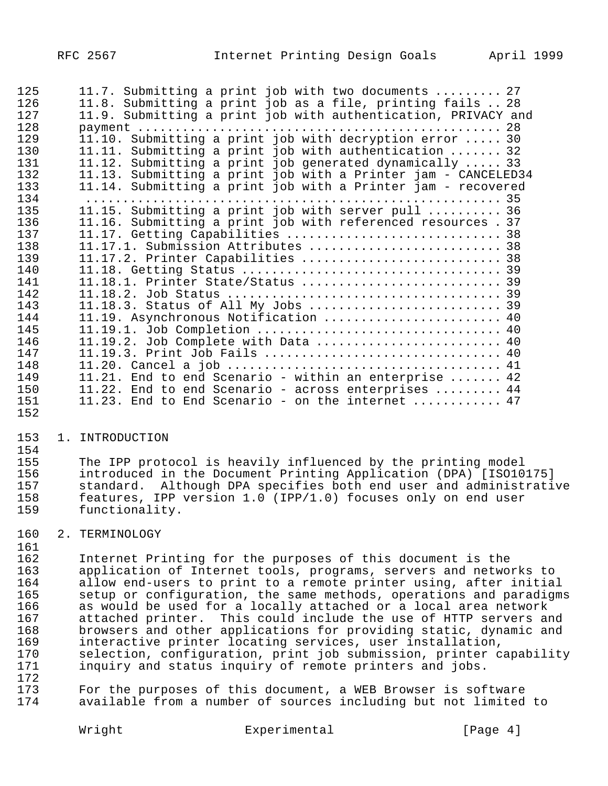| 125 | 11.7. Submitting a print job with two documents  27                    |
|-----|------------------------------------------------------------------------|
| 126 | 11.8. Submitting a print job as a file, printing fails  28             |
| 127 | 11.9. Submitting a print job with authentication, PRIVACY and          |
| 128 |                                                                        |
| 129 | 11.10. Submitting a print job with decryption error  30                |
| 130 | 11.11. Submitting a print job with authentication  32                  |
| 131 | 11.12. Submitting a print job generated dynamically  33                |
| 132 | 11.13. Submitting a print job with a Printer jam - CANCELED34          |
| 133 | 11.14. Submitting a print job with a Printer jam - recovered           |
| 134 |                                                                        |
| 135 | 11.15. Submitting a print job with server pull  36                     |
| 136 | 11.16. Submitting a print job with referenced resources. 37            |
| 137 | 11.17. Getting Capabilities  38                                        |
| 138 | 11.17.1. Submission Attributes  38                                     |
| 139 | 11.17.2. Printer Capabilities  38                                      |
| 140 |                                                                        |
| 141 | 11.18.1. Printer State/Status  39                                      |
| 142 |                                                                        |
| 143 | 11.18.3. Status of All My Jobs  39                                     |
| 144 | 11.19. Asynchronous Notification  40                                   |
| 145 | 11.19.1. Job Completion  40                                            |
| 146 | 11.19.2. Job Complete with Data  40                                    |
| 147 | 11.19.3. Print Job Fails  40                                           |
| 148 |                                                                        |
| 149 | 11.21. End to end Scenario - within an enterprise  42                  |
| 150 | 11.22. End to end Scenario - across enterprises  44                    |
| 151 | 11.23. End to End Scenario - on the internet $\ldots \ldots \ldots$ 47 |
| 152 |                                                                        |

#### 1. INTRODUCTION

154<br>155 The IPP protocol is heavily influenced by the printing model introduced in the Document Printing Application (DPA) [ISO10175] standard. Although DPA specifies both end user and administrative features, IPP version 1.0 (IPP/1.0) focuses only on end user functionality.

## 2. TERMINOLOGY

161<br>162

 Internet Printing for the purposes of this document is the 163 application of Internet tools, programs, servers and networks to<br>164 allow end-users to print to a remote printer using, after initial 164 allow end-users to print to a remote printer using, after initial<br>165 setup or configuration, the same methods, operations and paradigm; 165 setup or configuration, the same methods, operations and paradigms<br>166 as would be used for a locally attached or a local area network as would be used for a locally attached or a local area network attached printer. This could include the use of HTTP servers and 168 browsers and other applications for providing static, dynamic and<br>169 interactive printer locating services, user installation, 169 interactive printer locating services, user installation,<br>170 selection, configuration, print job submission, printer c 170 selection, configuration, print job submission, printer capability<br>171 inquiry and status inquiry of remote printers and jobs. inquiry and status inquiry of remote printers and jobs.

172<br>173 For the purposes of this document, a WEB Browser is software available from a number of sources including but not limited to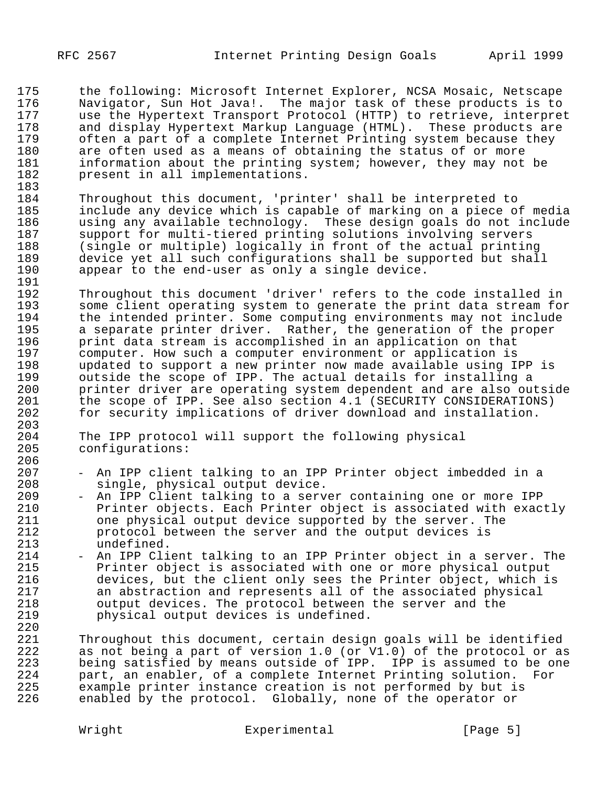175 the following: Microsoft Internet Explorer, NCSA Mosaic, Netscape<br>176 Mavigator, Sun Hot Java!. The major task of these products is to 176 Navigator, Sun Hot Java!. The major task of these products is to 177 use the Hypertext Transport Protocol (HTTP) to retrieve, interpret 178 and display Hypertext Markup Language (HTML). These products are 179 often a part of a complete Internet Printing system because they<br>180 are often used as a means of obtaining the status of or more 180 are often used as a means of obtaining the status of or more<br>181 information about the printing system; however, they may not 181 information about the printing system; however, they may not be 182 present in all implementations. present in all implementations.

183 184 Throughout this document, 'printer' shall be interpreted to<br>185 include any device which is capable of marking on a piece o: 185 include any device which is capable of marking on a piece of media 186 using any available technology. These design goals do not include<br>187 support for multi-tiered printing solutions involving servers 187 support for multi-tiered printing solutions involving servers<br>188 (single or multiple) logically in front of the actual printin 188 (single or multiple) logically in front of the actual printing<br>189 device yet all such configurations shall be supported but shall 189 device yet all such configurations shall be supported but shall<br>190 appear to the end-user as only a single device. appear to the end-user as only a single device.

191<br>192 192 Throughout this document 'driver' refers to the code installed in<br>193 Some client operating system to generate the print data stream for 193 some client operating system to generate the print data stream for<br>194 the intended printer. Some computing environments may not include 194 the intended printer. Some computing environments may not include<br>195 a separate printer driver. Rather, the generation of the proper 195 a separate printer driver. Rather, the generation of the proper<br>196 brint data stream is accomplished in an application on that 196 brint data stream is accomplished in an application on that<br>197 bromputer. How such a computer environment or application is 197 computer. How such a computer environment or application is<br>198 bupdated to support a new printer now made available using I 198 updated to support a new printer now made available using IPP is<br>199 outside the scope of IPP. The actual details for installing a 199 outside the scope of IPP. The actual details for installing a<br>200 printer driver are operating system dependent and are also out 200 printer driver are operating system dependent and are also outside<br>201 the scope of IPP. See also section 4.1 (SECURITY CONSIDERATIONS) 201 the scope of IPP. See also section 4.1 (SECURITY CONSIDERATIONS)<br>202 for security implications of driver download and installation. for security implications of driver download and installation.

204 The IPP protocol will support the following physical<br>205 configurations: configurations:

- 206<br>207 207 - An IPP client talking to an IPP Printer object imbedded in a 208 single, physical output device.<br>209 - An IPP Client talking to a serv
- 209 An IPP Client talking to a server containing one or more IPP<br>210 Printer objects. Each Printer object is associated with exac 210 Printer objects. Each Printer object is associated with exactly<br>211 one physical output device supported by the server. The 211 one physical output device supported by the server. The 212 protocol between the server and the output devices is<br>213 undefined. 213 undefined.<br>214 - An IPP Cli
- 214 An IPP Client talking to an IPP Printer object in a server. The<br>215 Printer object is associated with one or more physical output 215 Printer object is associated with one or more physical output<br>216 devices, but the client only sees the Printer object, which i 216 devices, but the client only sees the Printer object, which is<br>217 an abstraction and represents all of the associated physical 217 an abstraction and represents all of the associated physical<br>218 output devices. The protocol between the server and the 218 output devices. The protocol between the server and the physical output devices is undefined.

220 221 Throughout this document, certain design goals will be identified<br>222 as not being a part of version 1.0 (or V1.0) of the protocol or as 222 as not being a part of version 1.0 (or V1.0) of the protocol or as<br>223 being satisfied by means outside of IPP. IPP is assumed to be one 223 being satisfied by means outside of IPP. IPP is assumed to be one<br>224 part, an enabler, of a complete Internet Printing solution. For 224 part, an enabler, of a complete Internet Printing solution.<br>225 example printer instance creation is not performed by but is 225 example printer instance creation is not performed by but is<br>226 enabled by the protocol. Globally, none of the operator or enabled by the protocol. Globally, none of the operator or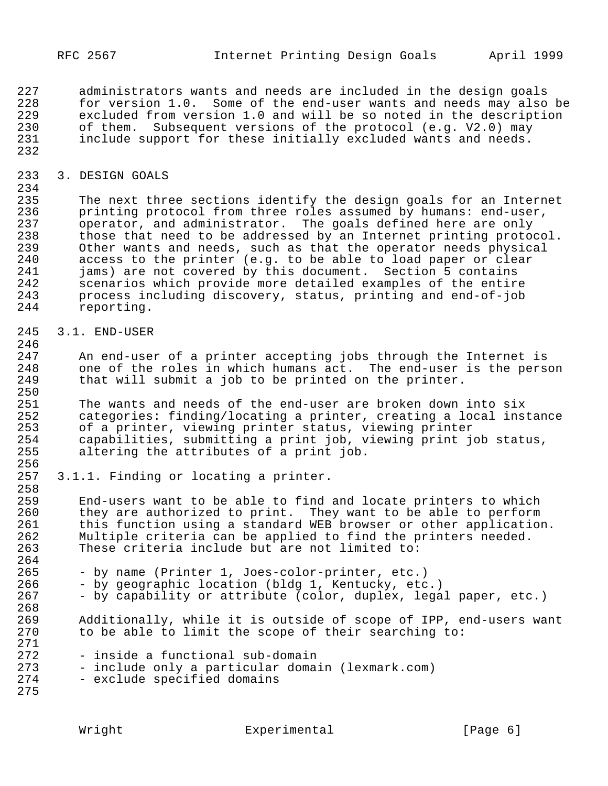227 administrators wants and needs are included in the design goals<br>228 for version 1.0. Some of the end-user wants and needs may also 228 for version 1.0. Some of the end-user wants and needs may also be 229 excluded from version 1.0 and will be so noted in the description 230 of them. Subsequent versions of the protocol (e.g. V2.0) may<br>231 include support for these initially excluded wants and needs. include support for these initially excluded wants and needs. 232

233 3. DESIGN GOALS

234<br>235 235 The next three sections identify the design goals for an Internet<br>236 The printing protocol from three roles assumed by humans: end-user, 236 printing protocol from three roles assumed by humans: end-user,<br>237 operator, and administrator. The goals defined here are only 237 operator, and administrator. The goals defined here are only<br>238 those that need to be addressed by an Internet printing proto 238 those that need to be addressed by an Internet printing protocol.<br>239 Other wants and needs, such as that the operator needs physical 239 Other wants and needs, such as that the operator needs physical<br>240 access to the printer (e.g. to be able to load paper or clear 240 access to the printer (e.g. to be able to load paper or clear<br>241 jams) are not covered by this document. Section 5 contains 241 jams) are not covered by this document. Section 5 contains<br>242 scenarios which provide more detailed examples of the entire 242 scenarios which provide more detailed examples of the entire<br>243 process including discovery, status, printing and end-of-job 243 process including discovery, status, printing and end-of-job reporting.

245 3.1. END-USER

246<br>247 247 An end-user of a printer accepting jobs through the Internet is<br>248 one of the roles in which humans act. The end-user is the perso 248 one of the roles in which humans act. The end-user is the person<br>249 that will submit a job to be printed on the printer. that will submit a job to be printed on the printer.

250<br>251 251 The wants and needs of the end-user are broken down into six<br>252 Categories: finding/locating a printer, creating a local inst 252 categories: finding/locating a printer, creating a local instance<br>253 of a printer, viewing printer status, viewing printer 253 of a printer, viewing printer status, viewing printer<br>254 capabilities, submitting a print job, viewing print jo 254 capabilities, submitting a print job, viewing print job status,<br>255 altering the attributes of a print job. altering the attributes of a print job.

256<br>257 3.1.1. Finding or locating a printer.

258<br>259 259 End-users want to be able to find and locate printers to which 260 they are authorized to print. They want to be able to perform<br>261 this function using a standard WEB browser or other application 261 this function using a standard WEB browser or other application.<br>262 Multiple criteria can be applied to find the printers needed. 262 Multiple criteria can be applied to find the printers needed.<br>263 These criteria include but are not limited to: These criteria include but are not limited to:

- 264<br>265 265 - by name (Printer 1, Joes-color-printer, etc.)<br>266 - by geographic location (bldg 1, Kentucky, etc
- 266 by geographic location (bldg 1, Kentucky, etc.)<br>267 by capability or attribute (color, duplex, legal
	- by capability or attribute (color, duplex, legal paper, etc.)
- 268<br>269 269 Additionally, while it is outside of scope of IPP, end-users want<br>270 to be able to limit the scope of their searching to: to be able to limit the scope of their searching to:
- 271<br>272 272 - inside a functional sub-domain<br>273 - include only a particular doma:
- 273 include only a particular domain (lexmark.com)<br>274 exclude specified domains
	- exclude specified domains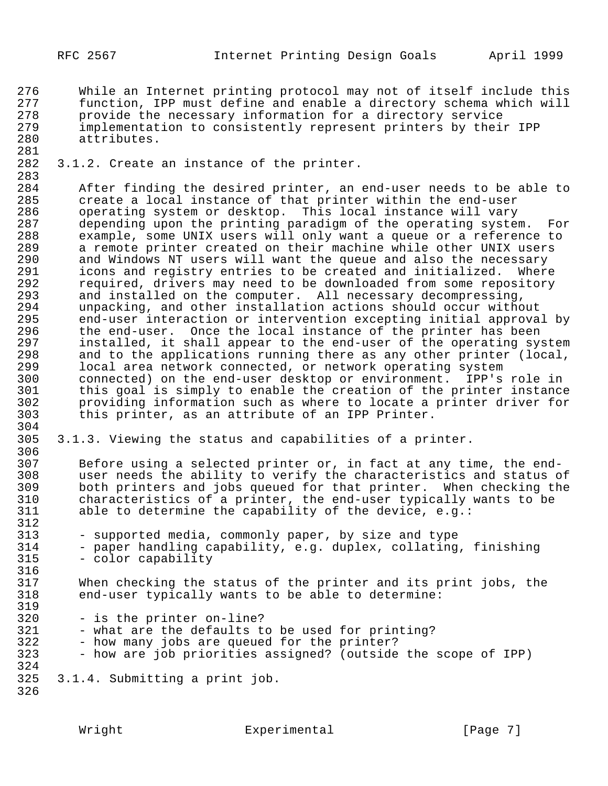276 While an Internet printing protocol may not of itself include this<br>277 function, IPP must define and enable a directory schema which will 277 function, IPP must define and enable a directory schema which will<br>278 brovide the necessary information for a directory service 278 provide the necessary information for a directory service 279 implementation to consistently represent printers by their IPP<br>280 attributes. attributes.

281<br>282 3.1.2. Create an instance of the printer.

283<br>284 284 After finding the desired printer, an end-user needs to be able to<br>285 create a local instance of that printer within the end-user 285 create a local instance of that printer within the end-user<br>286 operating system or desktop. This local instance will vary 286 operating system or desktop. This local instance will vary<br>287 odepending upon the printing paradigm of the operating system 287 depending upon the printing paradigm of the operating system. For<br>288 example, some UNIX users will only want a queue or a reference to 288 example, some UNIX users will only want a queue or a reference to<br>289 a remote printer created on their machine while other UNIX users 289 a remote printer created on their machine while other UNIX users<br>290 and Windows NT users will want the queue and also the necessary 290 and Windows NT users will want the queue and also the necessary<br>291 icons and reqistry entries to be created and initialized. Where 291 icons and registry entries to be created and initialized.<br>292 required, drivers may need to be downloaded from some repo 292 required, drivers may need to be downloaded from some repository<br>293 and installed on the computer. All necessary decompressing, 293 and installed on the computer. All necessary decompressing,<br>294 unpacking, and other installation actions should occur witho 294 unpacking, and other installation actions should occur without 295 end-user interaction or intervention excepting initial approval by<br>296 the end-user. Once the local instance of the printer has been 296 the end-user. Once the local instance of the printer has been<br>297 installed, it shall appear to the end-user of the operating sy: 297 installed, it shall appear to the end-user of the operating system<br>298 and to the applications running there as any other printer (local, 298 and to the applications running there as any other printer (local,<br>299 local area network connected, or network operating system 299 local area network connected, or network operating system<br>300 connected) on the end-user desktop or environment. IPP's 300 connected) on the end-user desktop or environment. IPP's role in 301 this goal is simply to enable the creation of the printer instance 302 providing information such as where to locate a printer driver for<br>303 this printer, as an attribute of an IPP Printer. this printer, as an attribute of an IPP Printer.

304<br>305 3.1.3. Viewing the status and capabilities of a printer.

306<br>307 307 Before using a selected printer or, in fact at any time, the end-<br>308 Unser needs the ability to verify the characteristics and status or 308 user needs the ability to verify the characteristics and status of<br>309 both printers and jobs queued for that printer. When checking the 309 both printers and jobs queued for that printer. When checking the<br>310 characteristics of a printer, the end-user typically wants to be 310 characteristics of a printer, the end-user typically wants to be<br>311 able to determine the capability of the device, e.g.: able to determine the capability of the device, e.g.:

- 312<br>313 313 - supported media, commonly paper, by size and type<br>314 - paper handling capability, e.g. duplex, collating
- 314 paper handling capability, e.g. duplex, collating, finishing<br>315 color capability - color capability
- 316<br>317 317 When checking the status of the printer and its print jobs, the<br>318 end-user typically wants to be able to determine: end-user typically wants to be able to determine:
- 319<br>320 320 - is the printer on-line?<br>321 - what are the defaults to
	- what are the defaults to be used for printing?
- 322 how many jobs are queued for the printer?
- 323 how are job priorities assigned? (outside the scope of IPP) 324
- 325 3.1.4. Submitting a print job.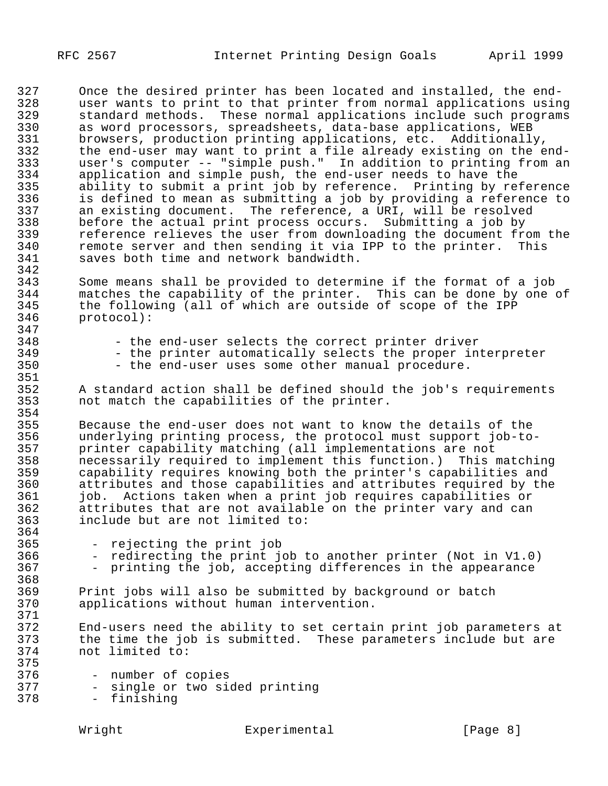347<br>348

364<br>365

368<br>369

375

327 Once the desired printer has been located and installed, the end-<br>328 Unser wants to print to that printer from normal applications usin 328 user wants to print to that printer from normal applications using<br>329 Standard methods. These normal applications include such programs 329 standard methods. These normal applications include such programs<br>330 as word processors, spreadsheets, data-base applications, WEB 330 as word processors, spreadsheets, data-base applications, WEB<br>331 browsers, production printing applications, etc. Additionally 331 browsers, production printing applications, etc. Additionally,<br>332 the end-user may want to print a file already existing on the e 332 the end-user may want to print a file already existing on the end-<br>333 user's computer -- "simple push." In addition to printing from an 333 user's computer -- "simple push." In addition to printing from an<br>334 application and simple push. the end-user needs to have the 334 application and simple push, the end-user needs to have the<br>335 ability to submit a print job by reference. Printing by re 335 ability to submit a print job by reference. Printing by reference<br>336 is defined to mean as submitting a job by providing a reference to 336 is defined to mean as submitting a job by providing a reference to<br>337 an existing document. The reference, a URI, will be resolved 337 an existing document. The reference, a URI, will be resolved<br>338 before the actual print process occurs. Submitting a job by 338 before the actual print process occurs. Submitting a job by 339 Feference relieves the user from downloading the document from the 340 Fremote server and then sending it via IPP to the printer. This 340 remote server and then sending it via IPP to the printer.<br>341 saves both time and network bandwidth. saves both time and network bandwidth.

342<br>343 343 Some means shall be provided to determine if the format of a job 344 matches the capability of the printer. This can be done by one of<br>345 the following (all of which are outside of scope of the IPP 345 the following (all of which are outside of scope of the IPP<br>346 protocol): protocol):

- 348 the end-user selects the correct printer driver<br>349 the printer automatically selects the proper in
- 349 the printer automatically selects the proper interpreter<br>350 the end-user uses some other manual procedure.
	- the end-user uses some other manual procedure.

351<br>352 352 A standard action shall be defined should the job's requirements<br>353 not match the capabilities of the printer. not match the capabilities of the printer.

354<br>355 355 Because the end-user does not want to know the details of the<br>356 underlying printing process, the protocol must support job-to-356 underlying printing process, the protocol must support job-to-357 printer capability matching (all implementations are not 358 necessarily required to implement this function.) This matching 359 capability requires knowing both the printer's capabilities and 360 attributes and those capabilities and attributes required by the<br>361 job. Actions taken when a print job requires capabilities or 361 job. Actions taken when a print job requires capabilities or<br>362 attributes that are not available on the printer vary and can 362 attributes that are not available on the printer vary and can<br>363 include but are not limited to: include but are not limited to:

- 365 rejecting the print job<br>366 redirecting the print io
- 366 redirecting the print job to another printer (Not in V1.0)<br>367 printing the job, accepting differences in the appearance
	- printing the job, accepting differences in the appearance

369 Print jobs will also be submitted by background or batch applications without human intervention.

371<br>372 372 End-users need the ability to set certain print job parameters at<br>373 the time the job is submitted. These parameters include but are 373 the time the job is submitted. These parameters include but are not limited to:

| 376 | - number of copies |  |                                |
|-----|--------------------|--|--------------------------------|
| 377 |                    |  | - single or two sided printing |

378 - finishing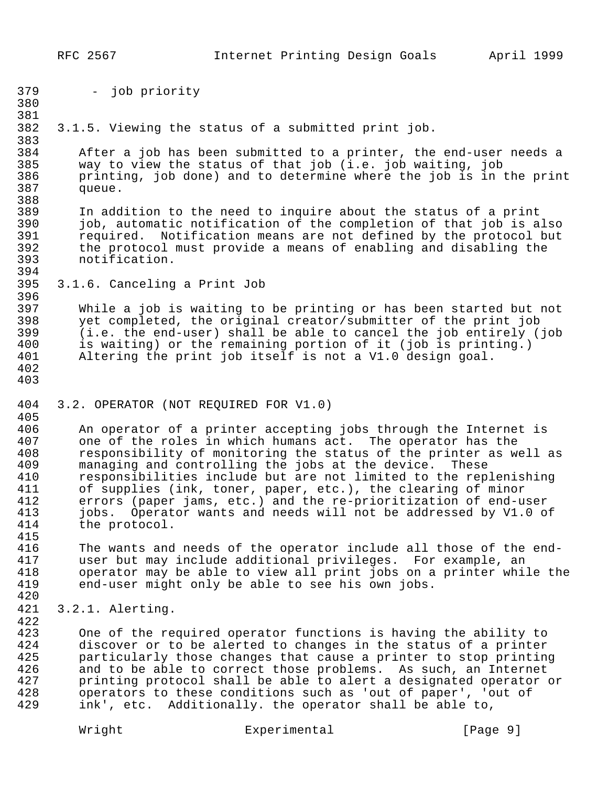| 379                                                                | - job priority                                                                                                                                                                                                                                                                                                                                                                                                                                                                                                                                             |
|--------------------------------------------------------------------|------------------------------------------------------------------------------------------------------------------------------------------------------------------------------------------------------------------------------------------------------------------------------------------------------------------------------------------------------------------------------------------------------------------------------------------------------------------------------------------------------------------------------------------------------------|
| 380                                                                |                                                                                                                                                                                                                                                                                                                                                                                                                                                                                                                                                            |
| 381<br>382<br>383                                                  | 3.1.5. Viewing the status of a submitted print job.                                                                                                                                                                                                                                                                                                                                                                                                                                                                                                        |
| 384<br>385<br>386<br>387<br>388                                    | After a job has been submitted to a printer, the end-user needs a<br>way to view the status of that job (i.e. job waiting, job<br>printing, job done) and to determine where the job is in the print<br>queue.                                                                                                                                                                                                                                                                                                                                             |
| 389<br>390<br>391<br>392<br>393<br>394                             | In addition to the need to inquire about the status of a print<br>job, automatic notification of the completion of that job is also<br>required. Notification means are not defined by the protocol but<br>the protocol must provide a means of enabling and disabling the<br>notification.                                                                                                                                                                                                                                                                |
| 395<br>396                                                         | 3.1.6. Canceling a Print Job                                                                                                                                                                                                                                                                                                                                                                                                                                                                                                                               |
| 397<br>398<br>399<br>400<br>401<br>402<br>403                      | While a job is waiting to be printing or has been started but not<br>yet completed, the original creator/submitter of the print job<br>(i.e. the end-user) shall be able to cancel the job entirely (job<br>is waiting) or the remaining portion of it (job is printing.)<br>Altering the print job itself is not a V1.0 design goal.                                                                                                                                                                                                                      |
| 404<br>405                                                         | 3.2. OPERATOR (NOT REQUIRED FOR V1.0)                                                                                                                                                                                                                                                                                                                                                                                                                                                                                                                      |
| 406<br>407<br>408<br>409<br>410<br>411<br>412<br>413<br>414<br>415 | An operator of a printer accepting jobs through the Internet is<br>one of the roles in which humans act. The operator has the<br>responsibility of monitoring the status of the printer as well as<br>managing and controlling the jobs at the device.<br>These<br>responsibilities include but are not limited to the replenishing<br>of supplies (ink, toner, paper, etc.), the clearing of minor<br>errors (paper jams, etc.) and the re-prioritization of end-user<br>jobs. Operator wants and needs will not be addressed by V1.0 of<br>the protocol. |
| 416<br>417<br>418<br>419<br>420                                    | The wants and needs of the operator include all those of the end-<br>user but may include additional privileges. For example, an<br>operator may be able to view all print jobs on a printer while the<br>end-user might only be able to see his own jobs.                                                                                                                                                                                                                                                                                                 |
| 421                                                                | 3.2.1. Alerting.                                                                                                                                                                                                                                                                                                                                                                                                                                                                                                                                           |
| 422<br>423<br>424<br>425<br>426<br>427                             | One of the required operator functions is having the ability to<br>discover or to be alerted to changes in the status of a printer<br>particularly those changes that cause a printer to stop printing<br>and to be able to correct those problems. As such, an Internet<br>printing protocol shall be able to alert a designated operator or                                                                                                                                                                                                              |
| 428<br>429                                                         | operators to these conditions such as 'out of paper', 'out of<br>ink', etc. Additionally. the operator shall be able to,                                                                                                                                                                                                                                                                                                                                                                                                                                   |

Wright Experimental [Page 9]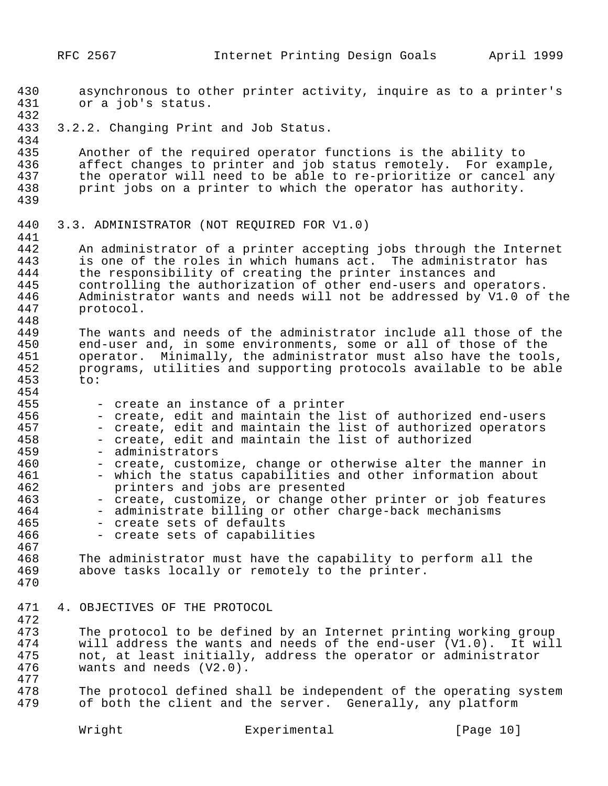protocol.

- 430 asynchronous to other printer activity, inquire as to a printer's 431 or a job's status. 432 433 3.2.2. Changing Print and Job Status. 434<br>435 435 Another of the required operator functions is the ability to<br>436 affect changes to printer and job status remotely. For examm 436 affect changes to printer and job status remotely. For example,<br>437 the operator will need to be able to re-prioritize or cancel any 437 the operator will need to be able to re-prioritize or cancel any<br>438 print jobs on a printer to which the operator has authority. print jobs on a printer to which the operator has authority. 439 440 3.3. ADMINISTRATOR (NOT REQUIRED FOR V1.0) 441<br>442 442 An administrator of a printer accepting jobs through the Internet<br>443 is one of the roles in which humans act. The administrator has 443 is one of the roles in which humans act. The administrator has<br>444 the responsibility of creating the printer instances and 444 the responsibility of creating the printer instances and<br>445 controlling the authorization of other end-users and oper 445 controlling the authorization of other end-users and operators.<br>446 Administrator wants and needs will not be addressed by V1.0 of 446 Administrator wants and needs will not be addressed by V1.0 of the 447
- 448<br>449 449 The wants and needs of the administrator include all those of the<br>450 end-user and, in some environments, some or all of those of the 450 end-user and, in some environments, some or all of those of the<br>451 operator. Minimally, the administrator must also have the tools 451 operator. Minimally, the administrator must also have the tools,<br>452 orgarams, utilities and supporting protocols available to be able programs, utilities and supporting protocols available to be able 453 to:
- 454<br>455 455 - create an instance of a printer<br>456 - create, edit and maintain the li 456 - create, edit and maintain the list of authorized end-users<br>457 - create, edit and maintain the list of authorized operators 457 - create, edit and maintain the list of authorized operators<br>458 - create, edit and maintain the list of authorized 458 - create, edit and maintain the list of authorized<br>459 - administrators 459 - administrators<br>460 - create, custom: 460 - create, customize, change or otherwise alter the manner in<br>461 - which the status capabilities and other information about 461 - which the status capabilities and other information about<br>462 - Printers and jobs are presented 462 **printers and jobs are presented**<br>463 - create, customize, or change otl 463 - create, customize, or change other printer or job features<br>464 - administrate billing or other charge-back mechanisms 464 - administrate billing or other charge-back mechanisms<br>465 - create sets of defaults 465 - create sets of defaults<br>466 - create sets of capabili - create sets of capabilities 467<br>468
- 468 The administrator must have the capability to perform all the<br>469 above tasks locally or remotely to the printer. above tasks locally or remotely to the printer.
- 470
- 471 4. OBJECTIVES OF THE PROTOCOL

472

473 The protocol to be defined by an Internet printing working group<br>474 Twill address the wants and needs of the end-user (V1.0). It will 474 will address the wants and needs of the end-user (V1.0). It will<br>475 mot, at least initially, address the operator or administrator 475 not, at least initially, address the operator or administrator<br>476 wants and needs (V2.0). wants and needs  $(V2.0)$ .

477 478 The protocol defined shall be independent of the operating system<br>479 of both the client and the server. Generally, any platform of both the client and the server. Generally, any platform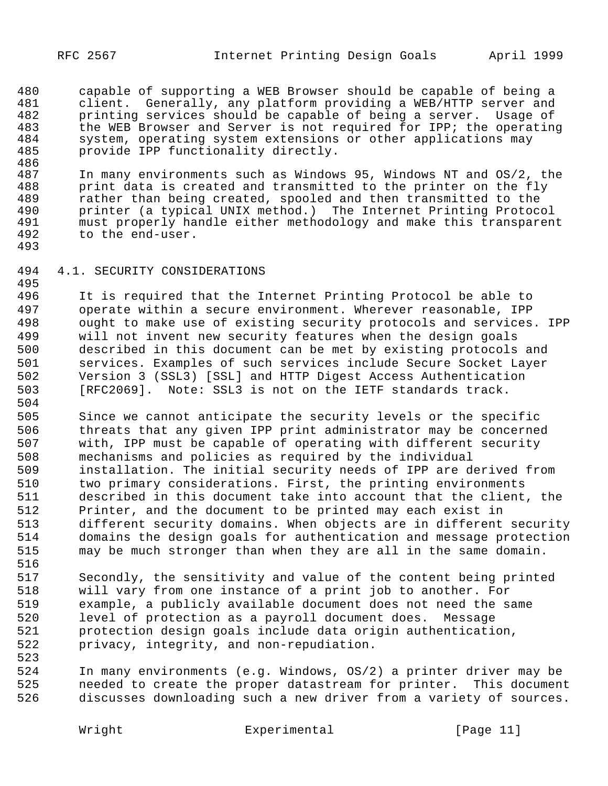480 capable of supporting a WEB Browser should be capable of being a<br>481 client. Generally, any platform providing a WEB/HTTP server and 481 client. Generally, any platform providing a WEB/HTTP server and<br>482 printing services should be capable of being a server. Usage of 482 printing services should be capable of being a server. Usage of <br>483 the WEB Browser and Server is not required for IPP; the operatin 483 the WEB Browser and Server is not required for IPP; the operating 484 system, operating system extensions or other applications may system, operating system extensions or other applications may provide IPP functionality directly.

486<br>487 487 In many environments such as Windows 95, Windows NT and OS/2, the<br>488 print data is created and transmitted to the printer on the fly 488 print data is created and transmitted to the printer on the fly<br>489 – rather than being created, spooled and then transmitted to the 489 rather than being created, spooled and then transmitted to the<br>490 printer (a typical UNIX method.) The Internet Printing Protoco 490 brinter (a typical UNIX method.) The Internet Printing Protocol<br>191 must properly handle either methodology and make this transparent 491 must properly handle either methodology and make this transparent<br>492 to the end-user. to the end-user.

## 4.1. SECURITY CONSIDERATIONS

495<br>496 It is required that the Internet Printing Protocol be able to operate within a secure environment. Wherever reasonable, IPP ought to make use of existing security protocols and services. IPP will not invent new security features when the design goals described in this document can be met by existing protocols and services. Examples of such services include Secure Socket Layer Version 3 (SSL3) [SSL] and HTTP Digest Access Authentication [RFC2069]. Note: SSL3 is not on the IETF standards track.

 Since we cannot anticipate the security levels or the specific threats that any given IPP print administrator may be concerned with, IPP must be capable of operating with different security mechanisms and policies as required by the individual installation. The initial security needs of IPP are derived from two primary considerations. First, the printing environments described in this document take into account that the client, the Printer, and the document to be printed may each exist in different security domains. When objects are in different security domains the design goals for authentication and message protection may be much stronger than when they are all in the same domain.

- Secondly, the sensitivity and value of the content being printed will vary from one instance of a print job to another. For example, a publicly available document does not need the same level of protection as a payroll document does. Message protection design goals include data origin authentication, privacy, integrity, and non-repudiation.
- In many environments (e.g. Windows, OS/2) a printer driver may be needed to create the proper datastream for printer. This document discusses downloading such a new driver from a variety of sources.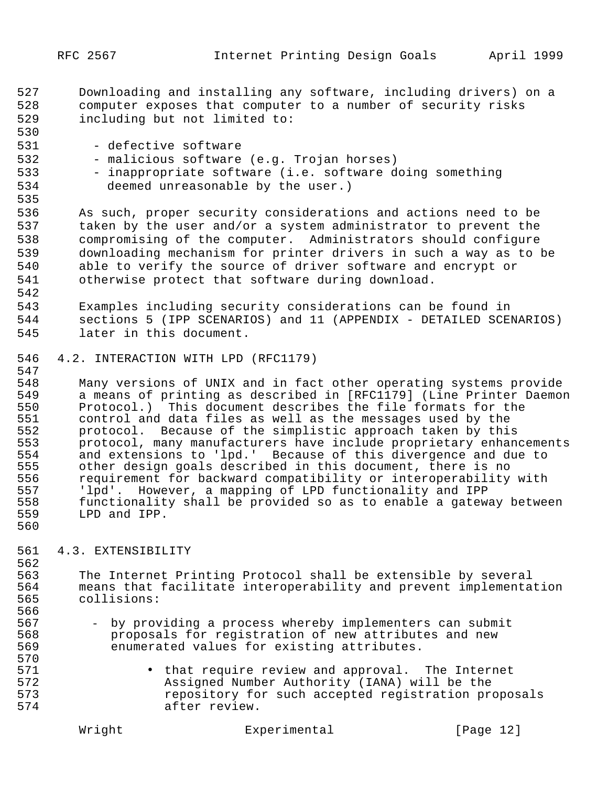- 527 Downloading and installing any software, including drivers) on a 528 computer exposes that computer to a number of security risks 529 including but not limited to:
- 531 defective software
- 532 malicious software (e.g. Trojan horses)
- 533 inappropriate software (i.e. software doing something<br>534 deemed unreasonable by the user.) deemed unreasonable by the user.)
- 535

542

560

570<br>571

530

 As such, proper security considerations and actions need to be taken by the user and/or a system administrator to prevent the compromising of the computer. Administrators should configure downloading mechanism for printer drivers in such a way as to be able to verify the source of driver software and encrypt or otherwise protect that software during download.

- 543 Examples including security considerations can be found in 544 sections 5 (IPP SCENARIOS) and 11 (APPENDIX - DETAILED SCENARIOS) 545 later in this document.
- 546 4.2. INTERACTION WITH LPD (RFC1179)

547<br>548 548 Many versions of UNIX and in fact other operating systems provide<br>549 a means of printing as described in [RFC1179] (Line Printer Daemor 549 a means of printing as described in [RFC1179] (Line Printer Daemon<br>550 Protocol.) This document describes the file formats for the 550 Protocol.) This document describes the file formats for the<br>551 control and data files as well as the messages used by the 551 control and data files as well as the messages used by the<br>552 protocol. Because of the simplistic approach taken by thi: 552 protocol. Because of the simplistic approach taken by this<br>553 protocol, many manufacturers have include proprietary enhan 553 protocol, many manufacturers have include proprietary enhancements<br>554 and extensions to 'lpd.' Because of this divergence and due to 554 and extensions to 'lpd.' Because of this divergence and due to<br>555 other design goals described in this document, there is no 555 other design goals described in this document, there is no<br>556 requirement for backward compatibility or interoperability 556 requirement for backward compatibility or interoperability with<br>557 1pd'. However, a mapping of LPD functionality and IPP 557 'lpd'. However, a mapping of LPD functionality and IPP 558 functionality shall be provided so as to enable a gateway between<br>559 LPD and IPP. LPD and IPP.

## 561 4.3. EXTENSIBILITY

562<br>563 563 The Internet Printing Protocol shall be extensible by several<br>564 The ans that facilitate interoperability and prevent implementa 564 means that facilitate interoperability and prevent implementation<br>565 collisions: 565 collisions: 566<br>567

- 567 by providing a process whereby implementers can submit<br>568 Proposals for registration of new attributes and new 568 proposals for registration of new attributes and new 569 enumerated values for existing attributes.
- 571 that require review and approval. The Internet<br>572 Assiqned Number Authority (IANA) will be the 572 Assigned Number Authority (IANA) will be the 573 repository for such accepted registration proposals after review.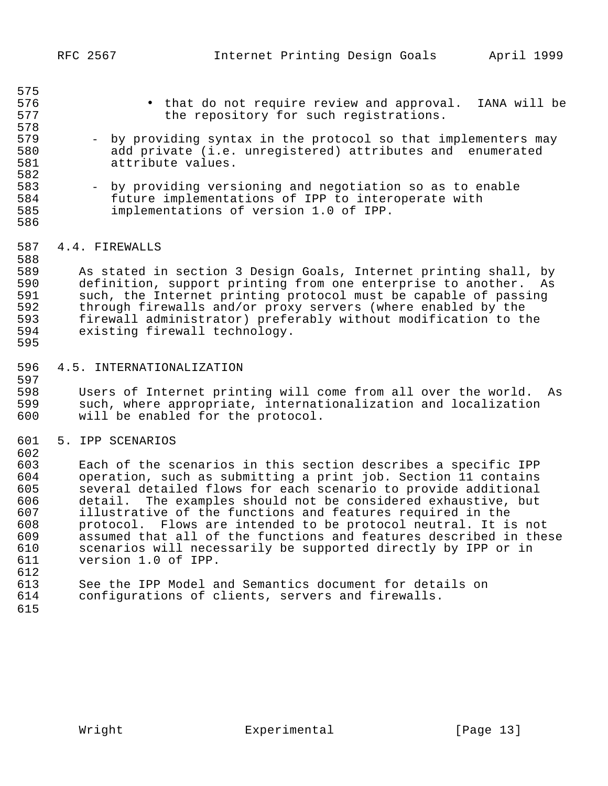| 580<br>581<br>582                                                         | add private (i.e. unregistered) attributes and enumerated<br>attribute values.                                                                                                                                                                                                                                                                                                                                                                                                                                                                                                                                                 |  |
|---------------------------------------------------------------------------|--------------------------------------------------------------------------------------------------------------------------------------------------------------------------------------------------------------------------------------------------------------------------------------------------------------------------------------------------------------------------------------------------------------------------------------------------------------------------------------------------------------------------------------------------------------------------------------------------------------------------------|--|
| 583<br>584<br>585<br>586                                                  | - by providing versioning and negotiation so as to enable<br>future implementations of IPP to interoperate with<br>implementations of version 1.0 of IPP.                                                                                                                                                                                                                                                                                                                                                                                                                                                                      |  |
| 587<br>588                                                                | 4.4. FIREWALLS                                                                                                                                                                                                                                                                                                                                                                                                                                                                                                                                                                                                                 |  |
| 589<br>590<br>591<br>592<br>593<br>594<br>595                             | As stated in section 3 Design Goals, Internet printing shall, by<br>definition, support printing from one enterprise to another.<br>As<br>such, the Internet printing protocol must be capable of passing<br>through firewalls and/or proxy servers (where enabled by the<br>firewall administrator) preferably without modification to the<br>existing firewall technology.                                                                                                                                                                                                                                                   |  |
| 596                                                                       | 4.5. INTERNATIONALIZATION                                                                                                                                                                                                                                                                                                                                                                                                                                                                                                                                                                                                      |  |
| 597<br>598<br>599<br>600                                                  | Users of Internet printing will come from all over the world.<br>As<br>such, where appropriate, internationalization and localization<br>will be enabled for the protocol.                                                                                                                                                                                                                                                                                                                                                                                                                                                     |  |
| 601<br>602                                                                | 5. IPP SCENARIOS                                                                                                                                                                                                                                                                                                                                                                                                                                                                                                                                                                                                               |  |
| 603<br>604<br>605<br>606<br>607<br>608<br>609<br>610<br>611<br>612<br>613 | Each of the scenarios in this section describes a specific IPP<br>operation, such as submitting a print job. Section 11 contains<br>several detailed flows for each scenario to provide additional<br>The examples should not be considered exhaustive, but<br>detail.<br>illustrative of the functions and features required in the<br>protocol. Flows are intended to be protocol neutral. It is not<br>assumed that all of the functions and features described in these<br>scenarios will necessarily be supported directly by IPP or in<br>version 1.0 of IPP.<br>See the IPP Model and Semantics document for details on |  |
| 614<br>615                                                                | configurations of clients, servers and firewalls.                                                                                                                                                                                                                                                                                                                                                                                                                                                                                                                                                                              |  |
|                                                                           |                                                                                                                                                                                                                                                                                                                                                                                                                                                                                                                                                                                                                                |  |

# 576 • that do not require review and approval. IANA will be<br>577 the repository for such reqistrations. the repository for such registrations.

579 - by providing syntax in the protocol so that implementers may

Wright Experimental [Page 13]

575<br>576

578<br>579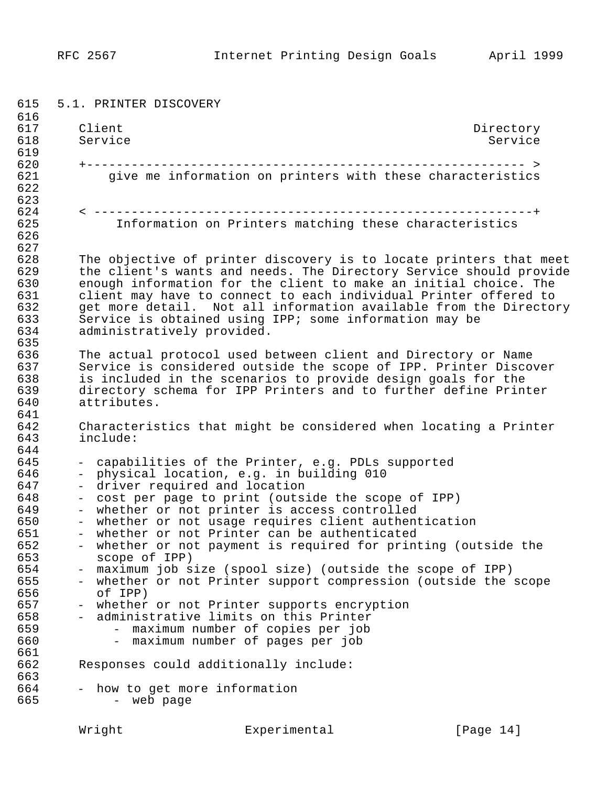615 5.1. PRINTER DISCOVERY 616<br>617 617 Client Directory<br>618 Service Service Base of Service Service 618 Service Service Service Service 619<br>620 620 +----------------------------------------------------------- > give me information on printers with these characteristics 622 623<br>624 624 < -----------------------------------------------------------+ Information on Printers matching these characteristics 626 627<br>628 628 The objective of printer discovery is to locate printers that meet<br>629 the client's wants and needs. The Directory Service should provide 629 the client's wants and needs. The Directory Service should provide<br>630 enough information for the client to make an initial choice. The 630 enough information for the client to make an initial choice. The 631 client may have to connect to each individual Printer offered to<br>632 oet more detail. Not all information available from the Director 632 get more detail. Not all information available from the Directory<br>633 Service is obtained using IPP; some information may be 633 Service is obtained using IPP; some information may be 634 administratively provided. administratively provided. 635<br>636 636 The actual protocol used between client and Directory or Name<br>637 Service is considered outside the scope of IPP. Printer Discoy 637 Service is considered outside the scope of IPP. Printer Discover<br>638 Sincluded in the scenarios to provide design goals for the 638 is included in the scenarios to provide design goals for the 639 directory schema for IPP Printers and to further define Printer<br>640 attributes. attributes. 641<br>642 642 Characteristics that might be considered when locating a Printer<br>643 include: include: 644<br>645 645 - capabilities of the Printer, e.g. PDLs supported 646 - physical location, e.g. in building 010<br>647 - driver required and location 647 - driver required and location<br>648 - cost per page to print (outs: 648 - cost per page to print (outside the scope of IPP)<br>649 - whether or not printer is access controlled 649 - whether or not printer is access controlled<br>650 - whether or not usage requires client authent 650 - whether or not usage requires client authentication<br>651 - whether or not Printer can be authenticated 651 - whether or not Printer can be authenticated<br>652 - whether or not payment is required for print 652 - whether or not payment is required for printing (outside the 653 scope of IPP) 654 - maximum job size (spool size) (outside the scope of IPP)<br>655 - whether or not Printer support compression (outside the 655 - whether or not Printer support compression (outside the scope 656 of IPP) 657 - whether or not Printer supports encryption<br>658 - administrative limits on this Printer 658 - administrative limits on this Printer 659 - maximum number of copies per job - maximum number of pages per job 661<br>662 Responses could additionally include: 663<br>664 664 - how to get more information<br>665 - web page - web page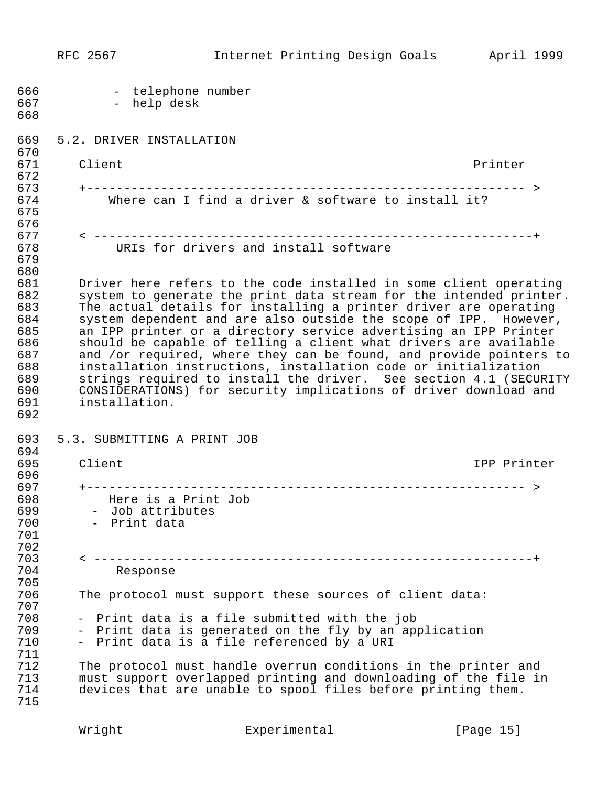RFC 2567 Internet Printing Design Goals April 1999 666 - telephone number<br>667 - help desk - help desk 668 669 5.2. DRIVER INSTALLATION 670<br>671 671 Client Client 672<br>673 673 +----------------------------------------------------------- > Where can I find a driver & software to install it? 675 676<br>677 677 < -----------------------------------------------------------+ URIs for drivers and install software 679 680<br>681 681 Driver here refers to the code installed in some client operating<br>682 System to generate the print data stream for the intended printer. 682 system to generate the print data stream for the intended printer.<br>683 The actual details for installing a printer driver are operating 683 The actual details for installing a printer driver are operating<br>684 System dependent and are also outside the scope of IPP. However, 684 system dependent and are also outside the scope of IPP. However, 685 an IPP printer or a directory service advertising an IPP Printer 686 should be capable of telling a client what drivers are available<br>687 and /or required, where they can be found, and provide pointers t 687 and /or required, where they can be found, and provide pointers to<br>688 installation instructions, installation code or initialization 688 installation instructions, installation code or initialization 689 strings required to install the driver. See section 4.1 (SECURITY<br>690 CONSIDERATIONS) for security implications of driver download and 690 CONSIDERATIONS) for security implications of driver download and<br>691 installation. installation. 692 693 5.3. SUBMITTING A PRINT JOB 694<br>695 Client **IPP** Printer 696<br>697 697 +----------------------------------------------------------- > 698 Here is a Print Job 699 - Job attributes<br>700 - Print data - Print data 701 702 703 < -----------------------------------------------------------+ Response 705 The protocol must support these sources of client data: 707 708 - Print data is a file submitted with the job 709 - Print data is generated on the fly by an application<br>710 - Print data is a file referenced by a URI - Print data is a file referenced by a URI 711 712 The protocol must handle overrun conditions in the printer and<br>713 Thust support overlapped printing and downloading of the file in 713 must support overlapped printing and downloading of the file in<br>714 devices that are unable to spool files before printing them. devices that are unable to spool files before printing them. 715

Wright **Experimental** [Page 15]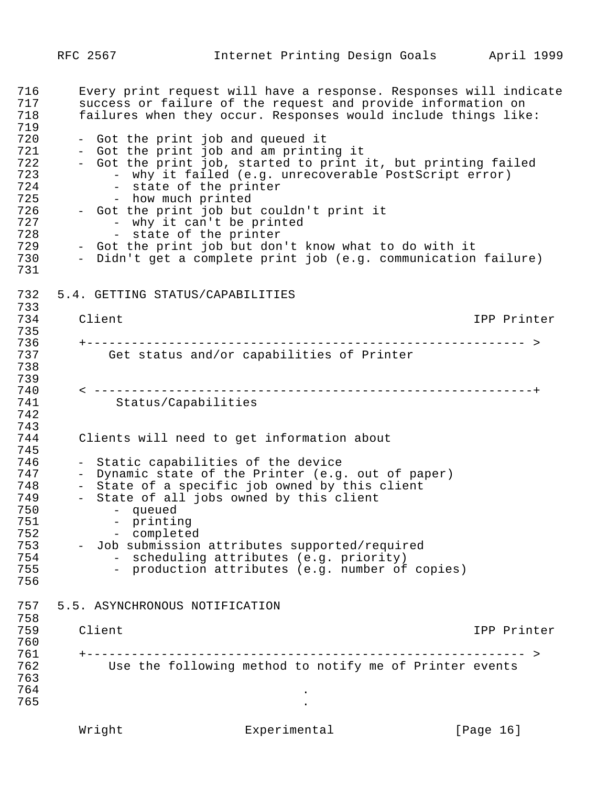716 Every print request will have a response. Responses will indicate<br>717 success or failure of the request and provide information on 717 success or failure of the request and provide information on<br>718 failures when they occur. Responses would include things like failures when they occur. Responses would include things like: 719 720 - Got the print job and queued it<br>721 - Got the print job and am printin 721 - Got the print job and am printing it 722 - Got the print job, started to print it, but printing failed 723 - why it failed (e.g. unrecoverable PostScript error)<br>724 - state of the printer 724 - state of the printer<br>725 - how much printed 725 - how much printed<br>726 - Got the print job but 726 - Got the print job but couldn't print it<br>727 - why it can't be printed 727 - why it can't be printed<br>728 - state of the printer 728 - state of the printer 729 - Got the print job but don't know what to do with it 730 - Didn't get a complete print job (e.g. communication failure) 731 732 5.4. GETTING STATUS/CAPABILITIES 733 734 Client IPP Printer 735<br>736 736 +----------------------------------------------------------- > Get status and/or capabilities of Printer 738 739<br>740 740 < -----------------------------------------------------------+ Status/Capabilities 742 743 Clients will need to get information about 745<br>746 746 - Static capabilities of the device 747 - Dynamic state of the Printer (e.g. out of paper)<br>748 - State of a specific job owned by this client 748 - State of a specific job owned by this client 749 - State of all jobs owned by this client 750 - queued 751 - printing 752 - completed 753 - Job submission attributes supported/required 754 - scheduling attributes (e.g. priority)<br>755 - production attributes (e.g. number of - production attributes (e.g. number of copies) 756 757 5.5. ASYNCHRONOUS NOTIFICATION 758 759 Client IPP Printer 760<br>761 761 +----------------------------------------------------------- > Use the following method to notify me of Printer events 763<br>764  $764$  $765$ 

Wright **Experimental** [Page 16]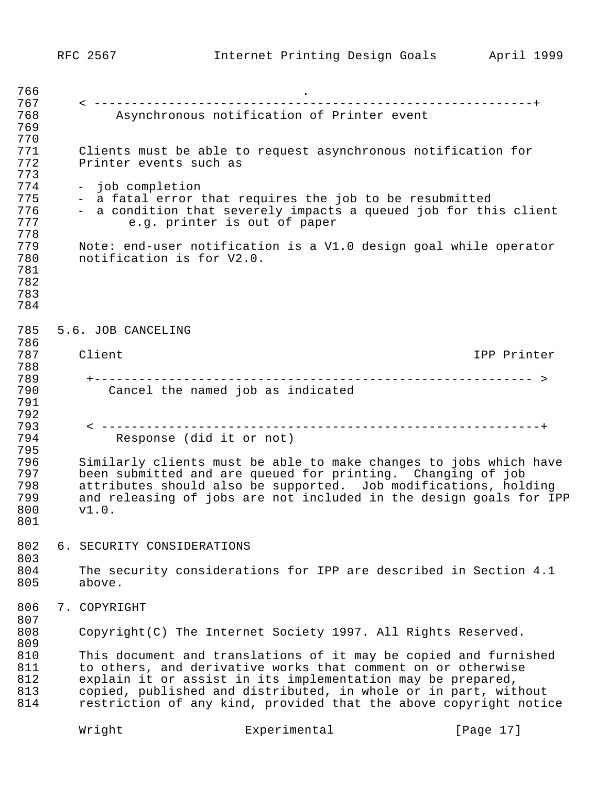| 766 |                            |                                                                 |                                                                    |
|-----|----------------------------|-----------------------------------------------------------------|--------------------------------------------------------------------|
| 767 |                            |                                                                 |                                                                    |
| 768 |                            | Asynchronous notification of Printer event                      |                                                                    |
| 769 |                            |                                                                 |                                                                    |
| 770 |                            |                                                                 |                                                                    |
| 771 |                            | Clients must be able to request asynchronous notification for   |                                                                    |
| 772 | Printer events such as     |                                                                 |                                                                    |
| 773 |                            |                                                                 |                                                                    |
| 774 | - job completion           |                                                                 |                                                                    |
| 775 |                            | - a fatal error that requires the job to be resubmitted         |                                                                    |
| 776 |                            |                                                                 | - a condition that severely impacts a queued job for this client   |
| 777 |                            | e.g. printer is out of paper                                    |                                                                    |
| 778 |                            |                                                                 |                                                                    |
|     |                            |                                                                 |                                                                    |
| 779 |                            |                                                                 | Note: end-user notification is a V1.0 design goal while operator   |
| 780 | notification is for V2.0.  |                                                                 |                                                                    |
| 781 |                            |                                                                 |                                                                    |
| 782 |                            |                                                                 |                                                                    |
| 783 |                            |                                                                 |                                                                    |
| 784 |                            |                                                                 |                                                                    |
|     |                            |                                                                 |                                                                    |
| 785 | 5.6. JOB CANCELING         |                                                                 |                                                                    |
| 786 |                            |                                                                 |                                                                    |
| 787 | Client                     |                                                                 | IPP Printer                                                        |
| 788 |                            |                                                                 |                                                                    |
| 789 |                            |                                                                 |                                                                    |
| 790 |                            | Cancel the named job as indicated                               |                                                                    |
| 791 |                            |                                                                 |                                                                    |
| 792 |                            |                                                                 |                                                                    |
|     |                            |                                                                 |                                                                    |
| 793 |                            |                                                                 |                                                                    |
| 794 | Response (did it or not)   |                                                                 |                                                                    |
| 795 |                            |                                                                 |                                                                    |
| 796 |                            |                                                                 | Similarly clients must be able to make changes to jobs which have  |
| 797 |                            | been submitted and are queued for printing. Changing of job     |                                                                    |
| 798 |                            |                                                                 | attributes should also be supported. Job modifications, holding    |
| 799 |                            |                                                                 | and releasing of jobs are not included in the design goals for IPP |
| 800 | v1.0.                      |                                                                 |                                                                    |
| 801 |                            |                                                                 |                                                                    |
|     |                            |                                                                 |                                                                    |
| 802 | 6. SECURITY CONSIDERATIONS |                                                                 |                                                                    |
| 803 |                            |                                                                 |                                                                    |
| 804 |                            |                                                                 | The security considerations for IPP are described in Section 4.1   |
| 805 | above.                     |                                                                 |                                                                    |
|     |                            |                                                                 |                                                                    |
|     |                            |                                                                 |                                                                    |
| 806 | 7. COPYRIGHT               |                                                                 |                                                                    |
| 807 |                            |                                                                 |                                                                    |
| 808 |                            | Copyright (C) The Internet Society 1997. All Rights Reserved.   |                                                                    |
| 809 |                            |                                                                 |                                                                    |
| 810 |                            |                                                                 | This document and translations of it may be copied and furnished   |
| 811 |                            | to others, and derivative works that comment on or otherwise    |                                                                    |
| 812 |                            | explain it or assist in its implementation may be prepared,     |                                                                    |
| 813 |                            | copied, published and distributed, in whole or in part, without |                                                                    |
| 814 |                            |                                                                 | restriction of any kind, provided that the above copyright notice  |
|     |                            |                                                                 |                                                                    |
|     | Wright                     | Experimental                                                    | [Page 17]                                                          |
|     |                            |                                                                 |                                                                    |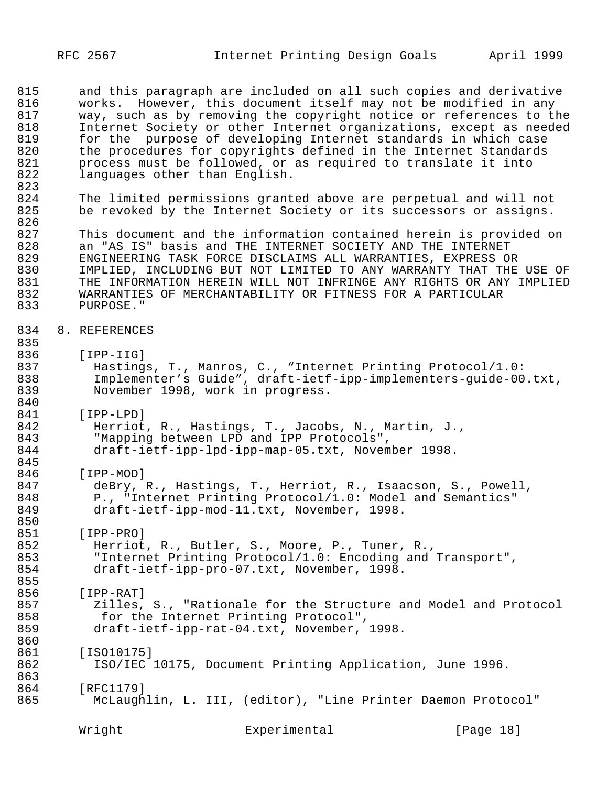815 and this paragraph are included on all such copies and derivative<br>816 works. However, this document itself may not be modified in any 816 works. However, this document itself may not be modified in any<br>817 way, such as by removing the copyright notice or references to th 817 way, such as by removing the copyright notice or references to the<br>818 18 Thternet Society or other Internet organizations, except as needed 818 Internet Society or other Internet organizations, except as needed<br>819 – for the purpose of developing Internet standards in which case 819 for the purpose of developing Internet standards in which case<br>820 the procedures for copyrights defined in the Internet Standards 820 the procedures for copyrights defined in the Internet Standards<br>821 brocess must be followed, or as required to translate it into 821 process must be followed, or as required to translate it into<br>822 languages other than English. languages other than English.

823 824 The limited permissions granted above are perpetual and will not<br>825 be revoked by the Internet Society or its successors or assigns. be revoked by the Internet Society or its successors or assigns.

826<br>827 827 This document and the information contained herein is provided on<br>828 This IS" basis and THE INTERNET SOCIETY AND THE INTERNET 828 an "AS IS" basis and THE INTERNET SOCIETY AND THE INTERNET<br>829 ENGINEERING TASK FORCE DISCLAIMS ALL WARRANTIES, EXPRESS O 829 ENGINEERING TASK FORCE DISCLAIMS ALL WARRANTIES, EXPRESS OR 830 IMPLIED, INCLUDING BUT NOT LIMITED TO ANY WARRANTY THAT THE USE OF 831 831 THE INFORMATION HEREIN WILL NOT INFRINGE ANY RIGHTS OR ANY IMPLIED<br>832 MARRANTIES OF MERCHANTABILITY OR FITNESS FOR A PARTICULAR 832 WARRANTIES OF MERCHANTABILITY OR FITNESS FOR A PARTICULAR<br>833 PURPOSE." PURPOSE."

#### 834 8. REFERENCES

835<br>836

836 [IPP-IIG]<br>837 Hastings 837 Hastings, T., Manros, C., "Internet Printing Protocol/1.0:<br>838 Implementer's Guide", draft-ietf-ipp-implementers-quide-00 838 Implementer's Guide", draft-ietf-ipp-implementers-guide-00.txt,<br>839 November 1998, work in progress. November 1998, work in progress.

840 841 [IPP-LPD]<br>842 Herriot

842 Herriot, R., Hastings, T., Jacobs, N., Martin, J., 843 843 Thapping between LPD and IPP Protocols",<br>844 draft-ietf-ipp-lpd-ipp-map-05.txt, Novem 844 draft-ietf-ipp-lpd-ipp-map-05.txt, November 1998.

845<br>846 846 [IPP-MOD]<br>847 deBry,

847 deBry, R., Hastings, T., Herriot, R., Isaacson, S., Powell, 848 P., "Internet Printing Protocol/1.0: Model and Semantics" 849 draft-ietf-ipp-mod-11.txt, November, 1998.

850<br>851 851 [IPP-PRO]<br>852 Herriot

852 Herriot, R., Butler, S., Moore, P., Tuner, R.,<br>853 TInternet Printing Protocol/1.0: Encoding and 853 "Internet Printing Protocol/1.0: Encoding and Transport",<br>854 draft-ietf-ipp-pro-07.txt, November, 1998. draft-ietf-ipp-pro-07.txt, November, 1998.

855<br>856 856 [IPP-RAT]

857 Zilles, S., "Rationale for the Structure and Model and Protocol 858 for the Internet Printing Protocol",<br>859 draft-ietf-ipp-rat-04.txt, November, draft-ietf-ipp-rat-04.txt, November, 1998.

860<br>861 861 [ISO10175]<br>862 ISO/IEC

ISO/IEC 10175, Document Printing Application, June 1996.

863<br>864 864 [RFC1179]

McLaughlin, L. III, (editor), "Line Printer Daemon Protocol"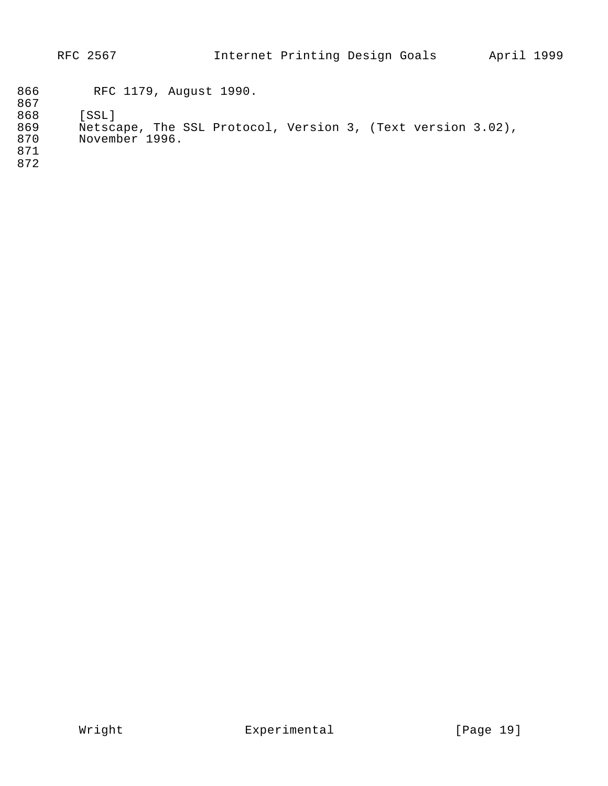|                                 | RFC 2567                                                                               | Internet Printing Design Goals |  | April 1999 |  |
|---------------------------------|----------------------------------------------------------------------------------------|--------------------------------|--|------------|--|
| 866<br>867                      | RFC 1179, August 1990.                                                                 |                                |  |            |  |
| 868<br>869<br>870<br>871<br>872 | [SSL]<br>Netscape, The SSL Protocol, Version 3, (Text version 3.02),<br>November 1996. |                                |  |            |  |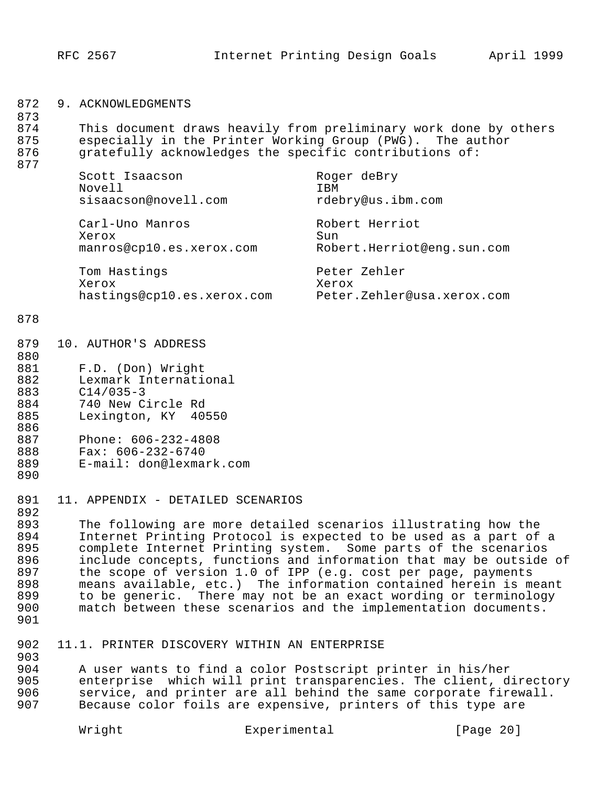| 872 | ACKNOWLEDGMENTS |
|-----|-----------------|
|-----|-----------------|

873 874 This document draws heavily from preliminary work done by others<br>875 especially in the Printer Working Group (PWG). The author 875 especially in the Printer Working Group (PWG). The author<br>876 gratefully acknowledges the specific contributions of: gratefully acknowledges the specific contributions of:

| Novell | Scott Isaacson<br>sisaacson@novell.com      | Roger deBry<br>T BM<br>rdebry@us.ibm.com            |
|--------|---------------------------------------------|-----------------------------------------------------|
| Xerox  | Carl-Uno Manros<br>manros@cp10.es.xerox.com | Robert Herriot<br>Sun<br>Robert.Herriot@eng.sun.com |
| Xerox  | Tom Hastings                                | Peter Zehler<br>Xerox                               |

hastings@cp10.es.xerox.com Peter.Zehler@usa.xerox.com

#### 878

877

| 879 | 10. AUTHOR'S ADDRESS  |
|-----|-----------------------|
| 880 |                       |
| 881 | F.D. (Don) Wright     |
| 882 | Lexmark International |
| 883 | $C14/035-3$           |
| 884 | 740 New Circle Rd     |
| 885 | Lexington, KY 40550   |
| 886 |                       |
| 887 | Phone: 606-232-4808   |

- 888 Fax: 606-232-6740 889 E-mail: don@lexmark.com
- 
- 890
- 891 11. APPENDIX DETAILED SCENARIOS

892<br>893 893 The following are more detailed scenarios illustrating how the 894 Internet Printing Protocol is expected to be used as a part of a<br>895 – complete Internet Printing system. Some parts of the scenarios complete Internet Printing system. Some parts of the scenarios 896 include concepts, functions and information that may be outside of  $897$  the scope of version 1.0 of IPP (e.g. cost per page, payments 897 the scope of version 1.0 of IPP (e.g. cost per page, payments<br>898 means available, etc.) The information contained herein is m 898 means available, etc.) The information contained herein is meant<br>899 to be generic. There may not be an exact wording or terminology 899 to be generic. There may not be an exact wording or terminology<br>900 match between these scenarios and the implementation documents. match between these scenarios and the implementation documents.

- 901
- 902 11.1. PRINTER DISCOVERY WITHIN AN ENTERPRISE

903 904 B A user wants to find a color Postscript printer in his/her<br>905 B enterprise which will print transparencies. The client, d 905 enterprise which will print transparencies. The client, directory<br>906 service, and printer are all behind the same corporate firewall. 906 service, and printer are all behind the same corporate firewall.<br>907 Because color foils are expensive, printers of this type are Because color foils are expensive, printers of this type are

Wright **Experimental** [Page 20]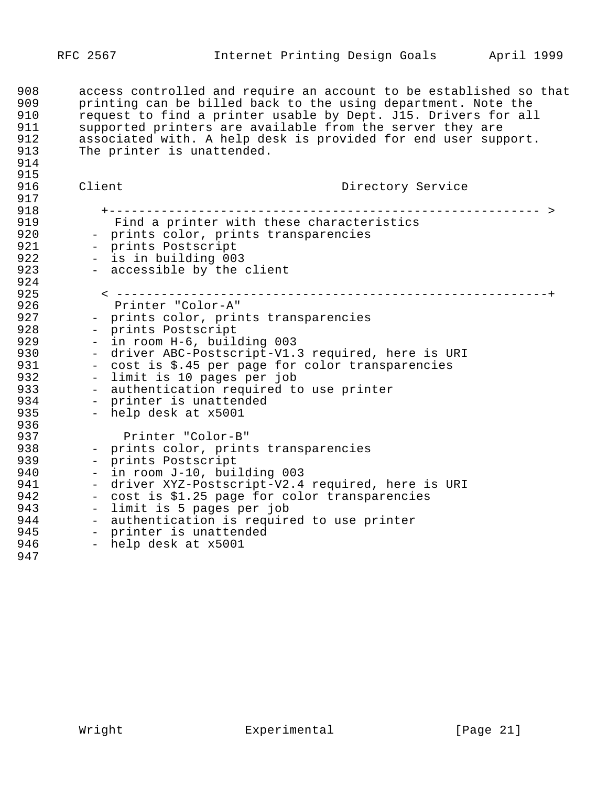908 access controlled and require an account to be established so that<br>909 printing can be billed back to the using department. Note the 909 printing can be billed back to the using department. Note the<br>910 Pequest to find a printer usable by Dept. J15. Drivers for all 910 request to find a printer usable by Dept. J15. Drivers for all<br>911 Supported printers are available from the server they are 911 supported printers are available from the server they are<br>912 associated with. A help desk is provided for end user supp 912 associated with. A help desk is provided for end user support.<br>913 The printer is unattended. The printer is unattended. 914 915<br>916 Client **Directory Service** 917<br>918 918 +---------------------------------------------------------- > 919 Find a printer with these characteristics<br>920 - prints color, prints transparencies 920 - prints color, prints transparencies<br>921 - prints Postscript 921 - prints Postscript<br>922 - is in building 00 922 - is in building 003<br>923 - accessible by the - accessible by the client 924<br>925 925 < ----------------------------------------------------------+ 926 Printer "Color-A" 927 - prints color, prints transparencies<br>928 - prints Postscript 928 - prints Postscript<br>929 - in room H-6, buile 929 - in room H-6, building 003<br>930 - driver ABC-Postscript-Vl. 930 - driver ABC-Postscript-V1.3 required, here is URI<br>931 - cost is \$.45 per page for color transparencies 931 - cost is \$.45 per page for color transparencies<br>932 - limit is 10 pages per job 932 - limit is 10 pages per job<br>933 - authentication required to 933 - authentication required to use printer<br>934 - printer is unattended 934 - printer is unattended<br>935 - help desk at x5001 - help desk at x5001 936<br>937 937 Printer "Color-B" 938 - prints color, prints transparencies<br>939 - prints Postscript 939 - prints Postscript<br>940 - in room J-10, buil 940 - in room J-10, building 003<br>941 - driver XYZ-Postscript-V2.4 941 - driver XYZ-Postscript-V2.4 required, here is URI<br>942 - cost is \$1.25 page for color transparencies 942 - cost is \$1.25 page for color transparencies<br>943 - limit is 5 pages per job end of the same of the same of the 1943 of the 1944 of the 1944 of the 1944 of the 1946 of the 1946 of the 194<br>1944 of the same same the 1944 of the 1944 of the 1944 of the 1946 of the 1946 of the 1946 of the 1946 of the 944 - authentication is required to use printer<br>945 - printer is unattended 945 - printer is unattended<br>946 - help desk at x5001 - help desk at x5001 947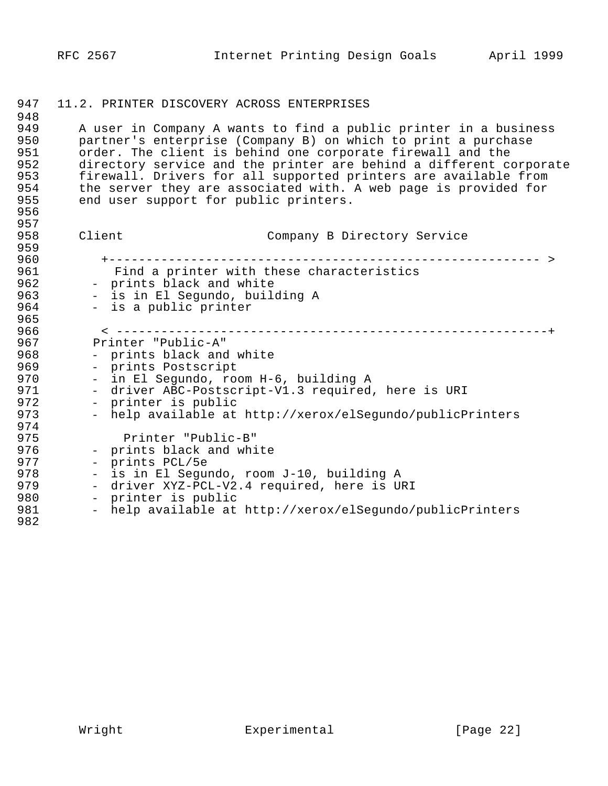| 947<br>948                                           | 11.2. PRINTER DISCOVERY ACROSS ENTERPRISES                                                                                                                                                                                                                                                                                                                                                                                                           |  |
|------------------------------------------------------|------------------------------------------------------------------------------------------------------------------------------------------------------------------------------------------------------------------------------------------------------------------------------------------------------------------------------------------------------------------------------------------------------------------------------------------------------|--|
| 949<br>950<br>951<br>952<br>953<br>954<br>955<br>956 | A user in Company A wants to find a public printer in a business<br>partner's enterprise (Company B) on which to print a purchase<br>order. The client is behind one corporate firewall and the<br>directory service and the printer are behind a different corporate<br>firewall. Drivers for all supported printers are available from<br>the server they are associated with. A web page is provided for<br>end user support for public printers. |  |
| 957<br>958<br>959                                    | Client<br>Company B Directory Service                                                                                                                                                                                                                                                                                                                                                                                                                |  |
| 960                                                  |                                                                                                                                                                                                                                                                                                                                                                                                                                                      |  |
| 961                                                  | Find a printer with these characteristics                                                                                                                                                                                                                                                                                                                                                                                                            |  |
| 962                                                  | - prints black and white                                                                                                                                                                                                                                                                                                                                                                                                                             |  |
| 963                                                  | - is in El Segundo, building A                                                                                                                                                                                                                                                                                                                                                                                                                       |  |
| 964                                                  | - is a public printer                                                                                                                                                                                                                                                                                                                                                                                                                                |  |
| 965<br>966                                           | $\le$ -------                                                                                                                                                                                                                                                                                                                                                                                                                                        |  |
| 967                                                  | Printer "Public-A"                                                                                                                                                                                                                                                                                                                                                                                                                                   |  |
| 968                                                  |                                                                                                                                                                                                                                                                                                                                                                                                                                                      |  |
|                                                      | - prints black and white                                                                                                                                                                                                                                                                                                                                                                                                                             |  |
| 969<br>970                                           | - prints Postscript                                                                                                                                                                                                                                                                                                                                                                                                                                  |  |
| 971                                                  | - in El Segundo, room H-6, building A<br>- driver ABC-Postscript-V1.3 required, here is URI                                                                                                                                                                                                                                                                                                                                                          |  |
| 972                                                  | - printer is public                                                                                                                                                                                                                                                                                                                                                                                                                                  |  |
| 973                                                  | - help available at http://xerox/elSegundo/publicPrinters                                                                                                                                                                                                                                                                                                                                                                                            |  |
| 974                                                  |                                                                                                                                                                                                                                                                                                                                                                                                                                                      |  |
| 975                                                  | Printer "Public-B"                                                                                                                                                                                                                                                                                                                                                                                                                                   |  |
| 976                                                  | - prints black and white                                                                                                                                                                                                                                                                                                                                                                                                                             |  |
| 977                                                  | - prints PCL/5e                                                                                                                                                                                                                                                                                                                                                                                                                                      |  |
| 978                                                  | - is in El Segundo, room J-10, building A                                                                                                                                                                                                                                                                                                                                                                                                            |  |
| 979                                                  | - driver XYZ-PCL-V2.4 required, here is URI                                                                                                                                                                                                                                                                                                                                                                                                          |  |
| 980                                                  | - printer is public                                                                                                                                                                                                                                                                                                                                                                                                                                  |  |
| 981                                                  | - help available at http://xerox/elSegundo/publicPrinters                                                                                                                                                                                                                                                                                                                                                                                            |  |
| 982                                                  |                                                                                                                                                                                                                                                                                                                                                                                                                                                      |  |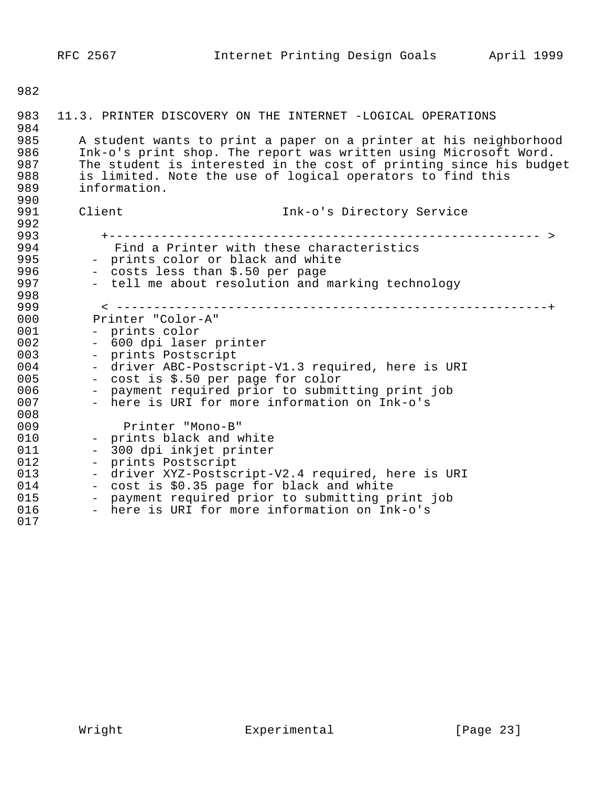| 983                                           | 11.3. PRINTER DISCOVERY ON THE INTERNET -LOGICAL OPERATIONS                                                                                                                                                                                                                               |
|-----------------------------------------------|-------------------------------------------------------------------------------------------------------------------------------------------------------------------------------------------------------------------------------------------------------------------------------------------|
| 984<br>985<br>986<br>987<br>988<br>989<br>990 | A student wants to print a paper on a printer at his neighborhood<br>Ink-o's print shop. The report was written using Microsoft Word.<br>The student is interested in the cost of printing since his budget<br>is limited. Note the use of logical operators to find this<br>information. |
| 991                                           | Client<br>Ink-o's Directory Service                                                                                                                                                                                                                                                       |
| 992                                           |                                                                                                                                                                                                                                                                                           |
| 993                                           |                                                                                                                                                                                                                                                                                           |
| 994                                           | Find a Printer with these characteristics                                                                                                                                                                                                                                                 |
| 995                                           | - prints color or black and white                                                                                                                                                                                                                                                         |
| 996                                           | - costs less than \$.50 per page                                                                                                                                                                                                                                                          |
| 997                                           | - tell me about resolution and marking technology                                                                                                                                                                                                                                         |
| 998<br>999                                    |                                                                                                                                                                                                                                                                                           |
| 000                                           | Printer "Color-A"                                                                                                                                                                                                                                                                         |
| 001                                           | - prints color                                                                                                                                                                                                                                                                            |
| 002                                           | - 600 dpi laser printer                                                                                                                                                                                                                                                                   |
| 003                                           | - prints Postscript                                                                                                                                                                                                                                                                       |
| 004                                           | - driver ABC-Postscript-V1.3 required, here is URI                                                                                                                                                                                                                                        |
| 005                                           | - cost is \$.50 per page for color                                                                                                                                                                                                                                                        |
| 006                                           | - payment required prior to submitting print job                                                                                                                                                                                                                                          |
| 007                                           | - here is URI for more information on Ink-o's                                                                                                                                                                                                                                             |
| 008                                           |                                                                                                                                                                                                                                                                                           |
| 009                                           | Printer "Mono-B"                                                                                                                                                                                                                                                                          |
| 010                                           | - prints black and white                                                                                                                                                                                                                                                                  |
| 011                                           | - 300 dpi inkjet printer                                                                                                                                                                                                                                                                  |
| 012                                           | - prints Postscript                                                                                                                                                                                                                                                                       |
| 013                                           | - driver XYZ-Postscript-V2.4 required, here is URI                                                                                                                                                                                                                                        |
| 014<br>015                                    | - cost is \$0.35 page for black and white                                                                                                                                                                                                                                                 |
| 016                                           | - payment required prior to submitting print job<br>- here is URI for more information on Ink-o's                                                                                                                                                                                         |
| 017                                           |                                                                                                                                                                                                                                                                                           |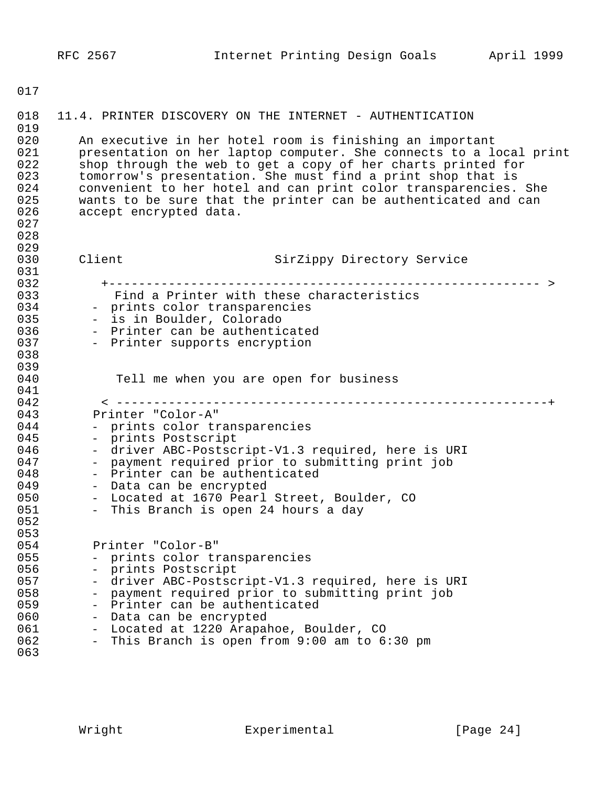| 018<br>019                                           | 11.4. PRINTER DISCOVERY ON THE INTERNET - AUTHENTICATION                                                                                                                                                                                                                                                                                                                                                                     |
|------------------------------------------------------|------------------------------------------------------------------------------------------------------------------------------------------------------------------------------------------------------------------------------------------------------------------------------------------------------------------------------------------------------------------------------------------------------------------------------|
| 020<br>021<br>022<br>023<br>024<br>025<br>026<br>027 | An executive in her hotel room is finishing an important<br>presentation on her laptop computer. She connects to a local print<br>shop through the web to get a copy of her charts printed for<br>tomorrow's presentation. She must find a print shop that is<br>convenient to her hotel and can print color transparencies. She<br>wants to be sure that the printer can be authenticated and can<br>accept encrypted data. |
| 028                                                  |                                                                                                                                                                                                                                                                                                                                                                                                                              |
| 029<br>030                                           | Client<br>SirZippy Directory Service                                                                                                                                                                                                                                                                                                                                                                                         |
| 031                                                  |                                                                                                                                                                                                                                                                                                                                                                                                                              |
| 032                                                  |                                                                                                                                                                                                                                                                                                                                                                                                                              |
| 033                                                  | Find a Printer with these characteristics                                                                                                                                                                                                                                                                                                                                                                                    |
| 034                                                  | - prints color transparencies                                                                                                                                                                                                                                                                                                                                                                                                |
| 035                                                  | - is in Boulder, Colorado                                                                                                                                                                                                                                                                                                                                                                                                    |
| 036                                                  | - Printer can be authenticated                                                                                                                                                                                                                                                                                                                                                                                               |
| 037                                                  | - Printer supports encryption                                                                                                                                                                                                                                                                                                                                                                                                |
| 038                                                  |                                                                                                                                                                                                                                                                                                                                                                                                                              |
| 039                                                  |                                                                                                                                                                                                                                                                                                                                                                                                                              |
| 040<br>041                                           | Tell me when you are open for business                                                                                                                                                                                                                                                                                                                                                                                       |
| 042                                                  |                                                                                                                                                                                                                                                                                                                                                                                                                              |
| 043                                                  | Printer "Color-A"                                                                                                                                                                                                                                                                                                                                                                                                            |
| 044                                                  | - prints color transparencies                                                                                                                                                                                                                                                                                                                                                                                                |
| 045                                                  | - prints Postscript                                                                                                                                                                                                                                                                                                                                                                                                          |
| 046                                                  | - driver ABC-Postscript-V1.3 required, here is URI                                                                                                                                                                                                                                                                                                                                                                           |
| 047                                                  | - payment required prior to submitting print job                                                                                                                                                                                                                                                                                                                                                                             |
| 048                                                  | - Printer can be authenticated                                                                                                                                                                                                                                                                                                                                                                                               |
| 049                                                  | - Data can be encrypted                                                                                                                                                                                                                                                                                                                                                                                                      |
| 050                                                  | - Located at 1670 Pearl Street, Boulder, CO                                                                                                                                                                                                                                                                                                                                                                                  |
| 051                                                  | - This Branch is open 24 hours a day                                                                                                                                                                                                                                                                                                                                                                                         |
| 052                                                  |                                                                                                                                                                                                                                                                                                                                                                                                                              |
| 053                                                  |                                                                                                                                                                                                                                                                                                                                                                                                                              |
| 054                                                  | Printer "Color-B"                                                                                                                                                                                                                                                                                                                                                                                                            |
| 055                                                  | prints color transparencies                                                                                                                                                                                                                                                                                                                                                                                                  |
| 056                                                  | prints Postscript                                                                                                                                                                                                                                                                                                                                                                                                            |
| 057<br>058                                           | driver ABC-Postscript-V1.3 required, here is URI                                                                                                                                                                                                                                                                                                                                                                             |
| 059                                                  | payment required prior to submitting print job<br>Printer can be authenticated                                                                                                                                                                                                                                                                                                                                               |
| 060                                                  | Data can be encrypted                                                                                                                                                                                                                                                                                                                                                                                                        |
| 061                                                  | Located at 1220 Arapahoe, Boulder, CO                                                                                                                                                                                                                                                                                                                                                                                        |
| 062                                                  | This Branch is open from 9:00 am to 6:30 pm                                                                                                                                                                                                                                                                                                                                                                                  |
| 063                                                  |                                                                                                                                                                                                                                                                                                                                                                                                                              |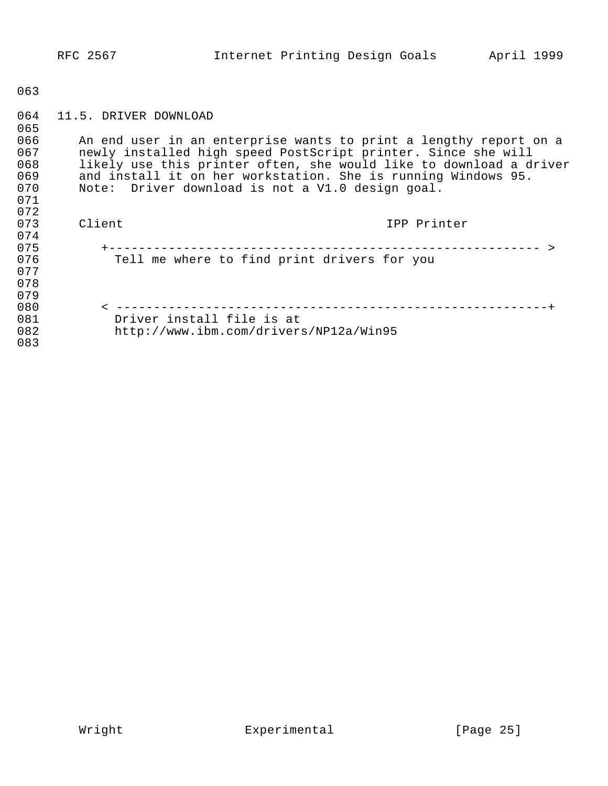| 064 | 11.5. DRIVER DOWNLOAD                                              |
|-----|--------------------------------------------------------------------|
| 065 |                                                                    |
| 066 | An end user in an enterprise wants to print a lengthy report on a  |
| 067 | newly installed high speed PostScript printer. Since she will      |
| 068 | likely use this printer often, she would like to download a driver |
| 069 | and install it on her workstation. She is running Windows 95.      |
| 070 | Note: Driver download is not a V1.0 design goal.                   |
| 071 |                                                                    |
| 072 |                                                                    |
| 073 | Client<br>IPP Printer                                              |
| 074 |                                                                    |
| 075 |                                                                    |
| 076 | Tell me where to find print drivers for you                        |
| 077 |                                                                    |
| 078 |                                                                    |
| 079 |                                                                    |
| 080 |                                                                    |
| 081 | Driver install file is at                                          |
| 082 | http://www.ibm.com/drivers/NP12a/Win95                             |
| 083 |                                                                    |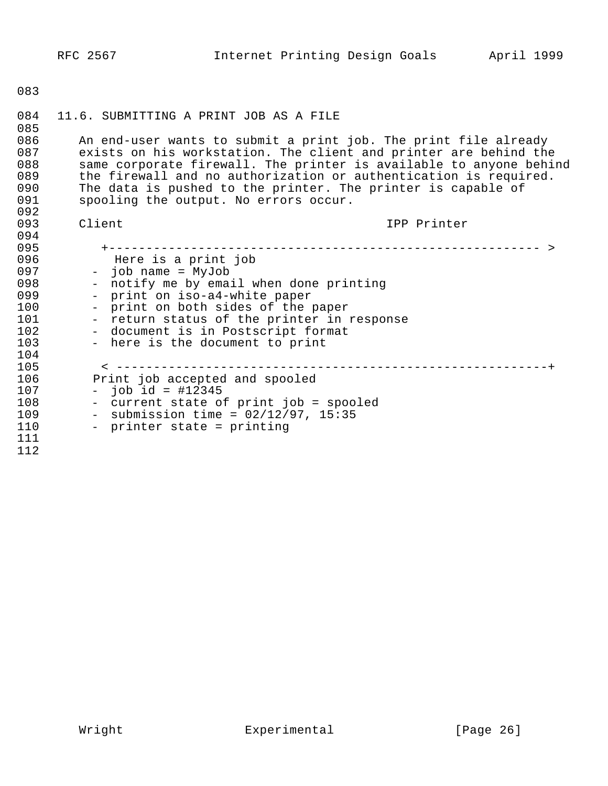|                                                                           | RFC 2567                                                                            | Internet Printing Design Goals                                                                                                                                                                                                                                                                                                                |             | April 1999 |
|---------------------------------------------------------------------------|-------------------------------------------------------------------------------------|-----------------------------------------------------------------------------------------------------------------------------------------------------------------------------------------------------------------------------------------------------------------------------------------------------------------------------------------------|-------------|------------|
| 083                                                                       |                                                                                     |                                                                                                                                                                                                                                                                                                                                               |             |            |
| 084<br>085                                                                | 11.6. SUBMITTING A PRINT JOB AS A FILE                                              |                                                                                                                                                                                                                                                                                                                                               |             |            |
| 086<br>087<br>088<br>089<br>090                                           |                                                                                     | An end-user wants to submit a print job. The print file already<br>exists on his workstation. The client and printer are behind the<br>same corporate firewall. The printer is available to anyone behind<br>the firewall and no authorization or authentication is required.<br>The data is pushed to the printer. The printer is capable of |             |            |
| 091<br>092                                                                |                                                                                     | spooling the output. No errors occur.                                                                                                                                                                                                                                                                                                         |             |            |
| 093<br>094                                                                | Client                                                                              |                                                                                                                                                                                                                                                                                                                                               | IPP Printer |            |
| 095<br>096<br>097<br>098<br>099<br>100<br>101<br>102<br>103<br>104<br>105 | Here is a print job<br>- job name = MyJob<br>- print on iso-a4-white paper          | - notify me by email when done printing<br>- print on both sides of the paper<br>- return status of the printer in response<br>- document is in Postscript format<br>- here is the document to print                                                                                                                                          |             |            |
| 106<br>107<br>108<br>109<br>110<br>111<br>112                             | Print job accepted and spooled<br>- $job id = #12345$<br>- printer state = printing | - current state of print job = spooled<br>- submission time = $02/12/97$ , 15:35                                                                                                                                                                                                                                                              |             |            |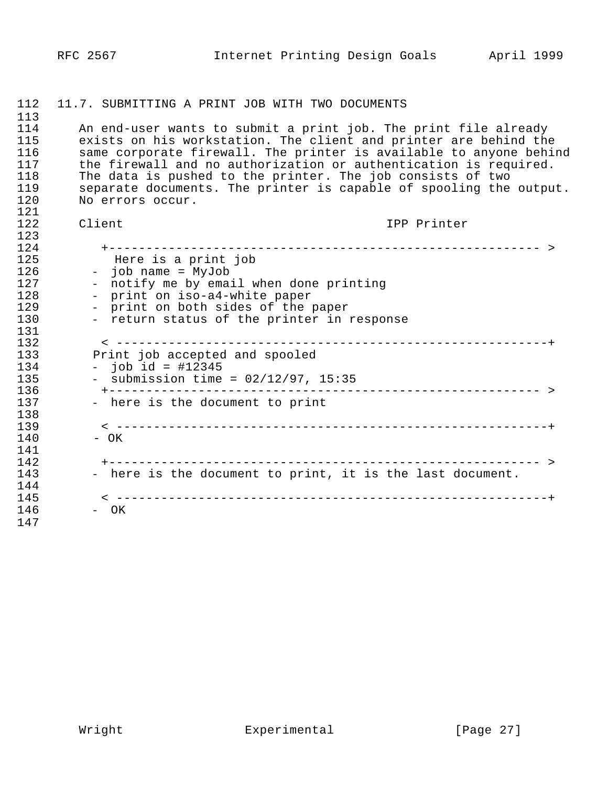## 1112 11.7. SUBMITTING A PRINT JOB WITH TWO DOCUMENTS 113<br>114 114 The And-user wants to submit a print job. The print file already<br>115 The exists on his workstation. The client and printer are behind the 115 exists on his workstation. The client and printer are behind the<br>116 Same corporate firewall. The printer is available to anvone behir 116 same corporate firewall. The printer is available to anyone behind<br>117 the firewall and no authorization or authentication is required. 117 the firewall and no authorization or authentication is required.<br>118 The data is pushed to the printer. The job consists of two 118 The data is pushed to the printer. The job consists of two<br>119 Separate documents. The printer is capable of spooling the 119 separate documents. The printer is capable of spooling the output.<br>120 Mo errors occur. No errors occur. 121<br>122 1122 Client IPP Printer 123<br>124 1124 +---------------------------------------------------------- > 1125 Here is a print job 126 - job name = MyJob<br>127 - notify me by emai 127 - notify me by email when done printing<br>128 - print on iso-a4-white paper 128 - print on iso-a4-white paper<br>129 - print on both sides of the p 129 - print on both sides of the paper<br>130 - return status of the printer in: - return status of the printer in response 131<br>132 1132 < ----------------------------------------------------------+ 133 Print job accepted and spooled<br>134 - iob id = #12345 134 - job id = #12345<br>135 - submission time 1135 - submission time = 02/12/97, 15:35 1136 +---------------------------------------------------------- > - here is the document to print 138<br>139 1139 < ----------------------------------------------------------+ - OK 141<br>142 1142 +---------------------------------------------------------- > - here is the document to print, it is the last document. 144<br>145 1145 < ----------------------------------------------------------+ - OK 1147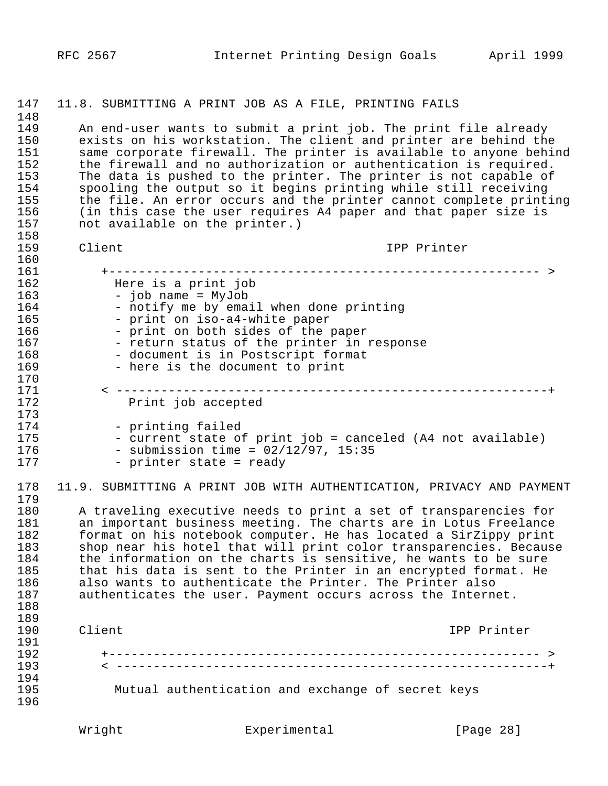| 147        |                                | 11.8. SUBMITTING A PRINT JOB AS A FILE, PRINTING FAILS                                                                              |             |
|------------|--------------------------------|-------------------------------------------------------------------------------------------------------------------------------------|-------------|
| 148        |                                |                                                                                                                                     |             |
| 149<br>150 |                                | An end-user wants to submit a print job. The print file already<br>exists on his workstation. The client and printer are behind the |             |
| 151        |                                | same corporate firewall. The printer is available to anyone behind                                                                  |             |
| 152        |                                | the firewall and no authorization or authentication is required.                                                                    |             |
| 153        |                                | The data is pushed to the printer. The printer is not capable of                                                                    |             |
| 154        |                                | spooling the output so it begins printing while still receiving                                                                     |             |
| 155        |                                | the file. An error occurs and the printer cannot complete printing                                                                  |             |
| 156        |                                | (in this case the user requires A4 paper and that paper size is                                                                     |             |
| 157        | not available on the printer.) |                                                                                                                                     |             |
| 158        |                                |                                                                                                                                     |             |
| 159        | Client                         |                                                                                                                                     | IPP Printer |
| 160        |                                |                                                                                                                                     |             |
| 161        |                                |                                                                                                                                     |             |
| 162        | Here is a print job            |                                                                                                                                     |             |
| 163        | - job name = MyJob             |                                                                                                                                     |             |
| 164<br>165 |                                | - notify me by email when done printing                                                                                             |             |
| 166        |                                | - print on iso-a4-white paper<br>- print on both sides of the paper                                                                 |             |
| 167        |                                | - return status of the printer in response                                                                                          |             |
| 168        |                                | - document is in Postscript format                                                                                                  |             |
| 169        |                                | - here is the document to print                                                                                                     |             |
| 170        |                                |                                                                                                                                     |             |
| 171        |                                |                                                                                                                                     |             |
| 172        |                                | Print job accepted                                                                                                                  |             |
| 173        |                                |                                                                                                                                     |             |
| 174        | - printing failed              |                                                                                                                                     |             |
| 175        |                                | - current state of print job = canceled (A4 not available)                                                                          |             |
| 176        |                                | - submission time = $02/12/97$ , 15:35                                                                                              |             |
| 177        |                                | - printer state = ready                                                                                                             |             |
|            |                                |                                                                                                                                     |             |
| 178<br>179 |                                | 11.9. SUBMITTING A PRINT JOB WITH AUTHENTICATION, PRIVACY AND PAYMENT                                                               |             |
| 180        |                                | A traveling executive needs to print a set of transparencies for                                                                    |             |
| 181        |                                | an important business meeting. The charts are in Lotus Freelance                                                                    |             |
| 182        |                                | format on his notebook computer. He has located a SirZippy print                                                                    |             |
| 183        |                                | shop near his hotel that will print color transparencies. Because                                                                   |             |
| 184        |                                | the information on the charts is sensitive, he wants to be sure                                                                     |             |
| 185        |                                | that his data is sent to the Printer in an encrypted format. He                                                                     |             |
| 186        |                                | also wants to authenticate the Printer. The Printer also                                                                            |             |
| 187        |                                | authenticates the user. Payment occurs across the Internet.                                                                         |             |
| 188        |                                |                                                                                                                                     |             |
| 189        |                                |                                                                                                                                     |             |
| 190        | Client                         |                                                                                                                                     | IPP Printer |
| 191        |                                |                                                                                                                                     |             |
| 192        |                                |                                                                                                                                     |             |
| 193        |                                |                                                                                                                                     |             |
| 194        |                                |                                                                                                                                     |             |
| 195        |                                | Mutual authentication and exchange of secret keys                                                                                   |             |
| 196        |                                |                                                                                                                                     |             |
|            | Wright                         | Experimental                                                                                                                        | [Page 28]   |
|            |                                |                                                                                                                                     |             |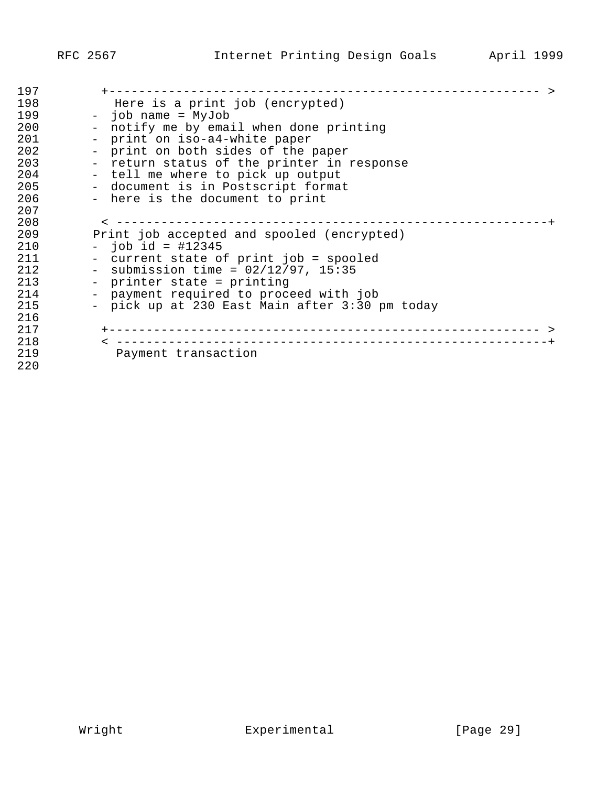| 197 |                                                |
|-----|------------------------------------------------|
| 198 | Here is a print job (encrypted)                |
| 199 | - job name = MyJob                             |
| 200 | - notify me by email when done printing        |
| 201 | - print on iso-a4-white paper                  |
| 202 | - print on both sides of the paper             |
| 203 | - return status of the printer in response     |
| 204 | - tell me where to pick up output              |
| 205 | - document is in Postscript format             |
| 206 | - here is the document to print                |
| 207 |                                                |
| 208 | -------------------------                      |
| 209 | Print job accepted and spooled (encrypted)     |
| 210 | $-$ job id = #12345                            |
| 211 | - current state of print job = spooled         |
| 212 | - submission time = $02/12/97$ , 15:35         |
| 213 | - printer state = printing                     |
| 214 | - payment required to proceed with job         |
| 215 | - pick up at 230 East Main after 3:30 pm today |
| 216 |                                                |
| 217 |                                                |
| 218 |                                                |
| 219 | Payment transaction                            |
| 220 |                                                |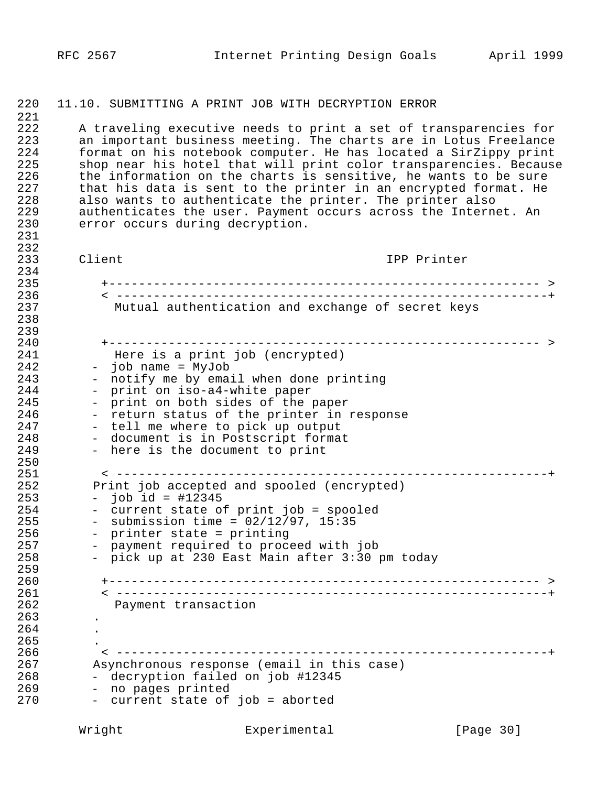#### 1220 11.10. SUBMITTING A PRINT JOB WITH DECRYPTION ERROR

 $\frac{221}{222}$ 1222 A traveling executive needs to print a set of transparencies for 223 an important business meeting. The charts are in Lotus Freelance<br>224 1 1 format on his notebook computer. He has located a SirZippy print 1224 format on his notebook computer. He has located a SirZippy print 225 shop near his hotel that will print color transparencies. Because<br>226 the information on the charts is sensitive, he wants to be sure 226 the information on the charts is sensitive, he wants to be sure<br>227 that his data is sent to the printer in an encrypted format. He 227 that his data is sent to the printer in an encrypted format. He<br>228 also wants to authenticate the printer. The printer also 228 also wants to authenticate the printer. The printer also<br>229 authenticates the user. Payment occurs across the Intern 229 authenticates the user. Payment occurs across the Internet. An 230 error occurs during decryption. error occurs during decryption. 1231

 $232$ <br> $233$ Client Communications of the Client Client IPP Printer 234<br>235 1235 +---------------------------------------------------------- > 1236 < ----------------------------------------------------------+ Mutual authentication and exchange of secret keys 1238 239<br>240 1240 +---------------------------------------------------------- > 241 Here is a print job (encrypted)<br>242 - iob name = MyJob 242 - job name = MyJob<br>243 - notify me by ema: 243 - notify me by email when done printing<br>244 - print on iso-a4-white paper 244 - print on iso-a4-white paper<br>245 - print on both sides of the 245 - print on both sides of the paper<br>246 - return status of the printer in 246 - return status of the printer in response<br>247 - tell me where to pick up output 247 - tell me where to pick up output<br>248 - document is in Postscript forma - document is in Postscript format 249 - here is the document to print 250<br>251 1251 < ----------------------------------------------------------+ 252 Print job accepted and spooled (encrypted)<br>253 - iob id = #12345 1253 - job id = #12345  $254$  - current state of print job = spooled<br> $255$  - submission time =  $02/12/97$ , 15:35 255 - submission time =  $02/12/97$ , 15:35<br>256 - printer state = printing 256 - printer state = printing<br>257 - payment required to proce 257 - payment required to proceed with job<br>258 - pick up at 230 East Main after 3:30 p - pick up at 230 East Main after 3:30 pm today 1259 1260 +---------------------------------------------------------- > 1261 < ----------------------------------------------------------+ Payment transaction 1263 . 264 265 1266 < ----------------------------------------------------------+ 1267 Asynchronous response (email in this case) 268 - decryption failed on job #12345<br>269 - no pages printed 269 - no pages printed<br>270 - current state of - current state of job = aborted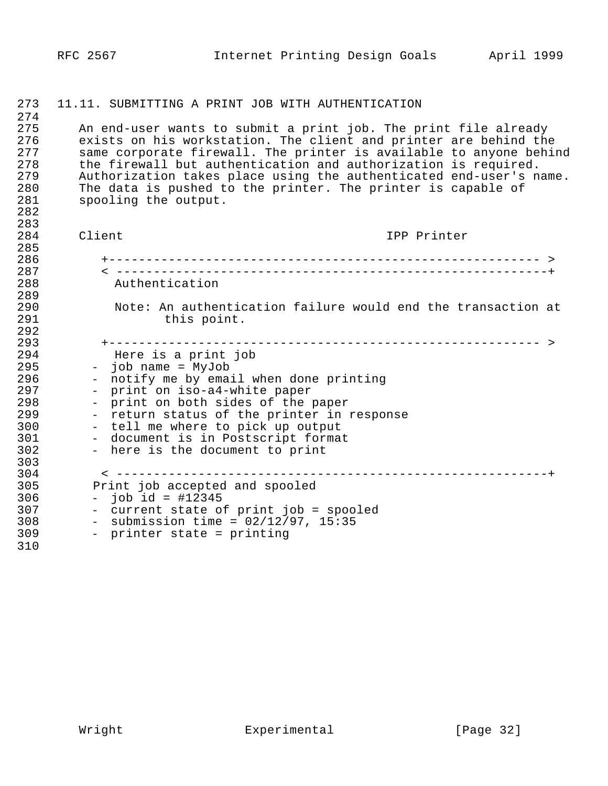| 273        | 11.11. SUBMITTING A PRINT JOB WITH AUTHENTICATION                                                                                   |
|------------|-------------------------------------------------------------------------------------------------------------------------------------|
| 274        |                                                                                                                                     |
| 275<br>276 | An end-user wants to submit a print job. The print file already<br>exists on his workstation. The client and printer are behind the |
| 277        | same corporate firewall. The printer is available to anyone behind                                                                  |
| 278        | the firewall but authentication and authorization is required.                                                                      |
| 279        | Authorization takes place using the authenticated end-user's name.                                                                  |
| 280        | The data is pushed to the printer. The printer is capable of                                                                        |
| 281        | spooling the output.                                                                                                                |
| 282        |                                                                                                                                     |
| 283        |                                                                                                                                     |
| 284        | Client<br>IPP Printer                                                                                                               |
| 285        |                                                                                                                                     |
| 286        |                                                                                                                                     |
| 287<br>288 | Authentication                                                                                                                      |
| 289        |                                                                                                                                     |
| 290        | Note: An authentication failure would end the transaction at                                                                        |
| 291        | this point.                                                                                                                         |
| 292        |                                                                                                                                     |
| 293        |                                                                                                                                     |
| 294        | Here is a print job                                                                                                                 |
| 295        | - job name = MyJob                                                                                                                  |
| 296        | notify me by email when done printing                                                                                               |
| 297        | print on iso-a4-white paper<br>$\overline{\phantom{0}}$                                                                             |
| 298        | print on both sides of the paper                                                                                                    |
| 299        | - return status of the printer in response                                                                                          |
| 300<br>301 | - tell me where to pick up output<br>- document is in Postscript format                                                             |
| 302        | - here is the document to print                                                                                                     |
| 303        |                                                                                                                                     |
| 304        |                                                                                                                                     |
| 305        | Print job accepted and spooled                                                                                                      |
| 306        | $-$ job id = #12345                                                                                                                 |
| 307        | - current state of print job = spooled                                                                                              |
| 308        | - submission time = $02/12/97$ , 15:35                                                                                              |
| 309        | - printer state = printing                                                                                                          |
| 310        |                                                                                                                                     |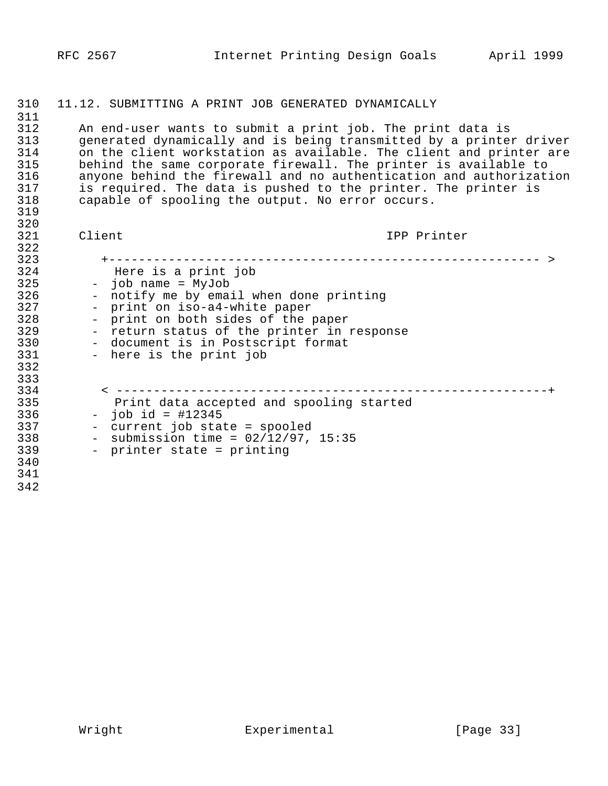## 11.12. SUBMITTING A PRINT JOB GENERATED DYNAMICALLY

311<br>312 312 An end-user wants to submit a print job. The print data is<br>313 Generated dynamically and is being transmitted by a printer 313 generated dynamically and is being transmitted by a printer driver<br>314 on the client workstation as available. The client and printer are 314 on the client workstation as available. The client and printer are<br>315 behind the same corporate firewall. The printer is available to behind the same corporate firewall. The printer is available to 316 anyone behind the firewall and no authentication and authorization<br>317 is required. The data is pushed to the printer. The printer is is required. The data is pushed to the printer. The printer is  $318$  capable of spooling the output. No error occurs. capable of spooling the output. No error occurs. 

320<br>321

Client Communications of the Client IPP Printer

| 323 |                                                     |
|-----|-----------------------------------------------------|
| 324 | Here is a print job                                 |
| 325 | job name = MyJob<br>$\frac{1}{2}$ and $\frac{1}{2}$ |
| 326 | notify me by email when done printing               |
| 327 | print on iso-a4-white paper                         |
| 328 | print on both sides of the paper<br>$\sim$          |
| 329 | - return status of the printer in response          |
| 330 | - document is in Postscript format                  |
| 331 | - here is the print job                             |
| 332 |                                                     |
| 333 |                                                     |
| 334 |                                                     |
| 335 | Print data accepted and spooling started            |
| 336 | job id = $\#12345$<br>$\sim$ .                      |
| 337 | current job state = spooled                         |
| 338 | submission time = $02/12/97$ , 15:35                |
| 339 | - printer state = printing                          |
| 340 |                                                     |
| 341 |                                                     |
| 342 |                                                     |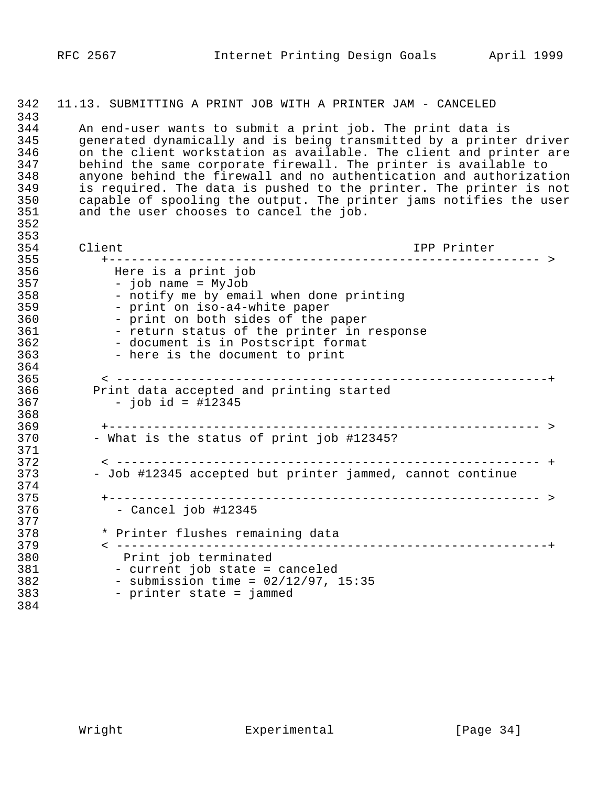### 1342 11.13. SUBMITTING A PRINT JOB WITH A PRINTER JAM - CANCELED

343<br>344 1344 An end-user wants to submit a print job. The print data is 1345 generated dynamically and is being transmitted by a printer driver 346 on the client workstation as available. The client and printer are<br>347 behind the same corporate firewall. The printer is available to 1347 behind the same corporate firewall. The printer is available to 348 anyone behind the firewall and no authentication and authorization<br>349 is required. The data is pushed to the printer. The printer is not 1349 is required. The data is pushed to the printer. The printer is not 1350 capable of spooling the output. The printer jams notifies the user 1351 and the user chooses to cancel the job. 1352

| 354<br>Client<br>IPP Printer<br>355<br>356<br>Here is a print job<br>357<br>- job name = MyJob<br>358<br>- notify me by email when done printing<br>- print on iso-a4-white paper<br>359<br>360<br>- print on both sides of the paper<br>361<br>- return status of the printer in response<br>362<br>- document is in Postscript format<br>363<br>- here is the document to print<br>364<br>365<br>366<br>Print data accepted and printing started<br>$-$ job id = #12345<br>367<br>368<br>369<br>- What is the status of print job #12345?<br>370<br>371<br>372<br>- Job #12345 accepted but printer jammed, cannot continue<br>373<br>374<br>375 |
|----------------------------------------------------------------------------------------------------------------------------------------------------------------------------------------------------------------------------------------------------------------------------------------------------------------------------------------------------------------------------------------------------------------------------------------------------------------------------------------------------------------------------------------------------------------------------------------------------------------------------------------------------|
|                                                                                                                                                                                                                                                                                                                                                                                                                                                                                                                                                                                                                                                    |
|                                                                                                                                                                                                                                                                                                                                                                                                                                                                                                                                                                                                                                                    |
|                                                                                                                                                                                                                                                                                                                                                                                                                                                                                                                                                                                                                                                    |
|                                                                                                                                                                                                                                                                                                                                                                                                                                                                                                                                                                                                                                                    |
|                                                                                                                                                                                                                                                                                                                                                                                                                                                                                                                                                                                                                                                    |
|                                                                                                                                                                                                                                                                                                                                                                                                                                                                                                                                                                                                                                                    |
|                                                                                                                                                                                                                                                                                                                                                                                                                                                                                                                                                                                                                                                    |
|                                                                                                                                                                                                                                                                                                                                                                                                                                                                                                                                                                                                                                                    |
|                                                                                                                                                                                                                                                                                                                                                                                                                                                                                                                                                                                                                                                    |
|                                                                                                                                                                                                                                                                                                                                                                                                                                                                                                                                                                                                                                                    |
|                                                                                                                                                                                                                                                                                                                                                                                                                                                                                                                                                                                                                                                    |
|                                                                                                                                                                                                                                                                                                                                                                                                                                                                                                                                                                                                                                                    |
|                                                                                                                                                                                                                                                                                                                                                                                                                                                                                                                                                                                                                                                    |
|                                                                                                                                                                                                                                                                                                                                                                                                                                                                                                                                                                                                                                                    |
|                                                                                                                                                                                                                                                                                                                                                                                                                                                                                                                                                                                                                                                    |
|                                                                                                                                                                                                                                                                                                                                                                                                                                                                                                                                                                                                                                                    |
|                                                                                                                                                                                                                                                                                                                                                                                                                                                                                                                                                                                                                                                    |
|                                                                                                                                                                                                                                                                                                                                                                                                                                                                                                                                                                                                                                                    |
|                                                                                                                                                                                                                                                                                                                                                                                                                                                                                                                                                                                                                                                    |
|                                                                                                                                                                                                                                                                                                                                                                                                                                                                                                                                                                                                                                                    |
|                                                                                                                                                                                                                                                                                                                                                                                                                                                                                                                                                                                                                                                    |
|                                                                                                                                                                                                                                                                                                                                                                                                                                                                                                                                                                                                                                                    |
| $-$ Cancel job $\#12345$<br>376                                                                                                                                                                                                                                                                                                                                                                                                                                                                                                                                                                                                                    |
| 377                                                                                                                                                                                                                                                                                                                                                                                                                                                                                                                                                                                                                                                |
| 378<br>* Printer flushes remaining data                                                                                                                                                                                                                                                                                                                                                                                                                                                                                                                                                                                                            |
| -----------------------------------+<br>379                                                                                                                                                                                                                                                                                                                                                                                                                                                                                                                                                                                                        |
| 380<br>Print job terminated                                                                                                                                                                                                                                                                                                                                                                                                                                                                                                                                                                                                                        |
| 381<br>- current job state = canceled                                                                                                                                                                                                                                                                                                                                                                                                                                                                                                                                                                                                              |
| 382<br>- submission time = $02/12/97$ , 15:35                                                                                                                                                                                                                                                                                                                                                                                                                                                                                                                                                                                                      |
| 383<br>- printer state = jammed                                                                                                                                                                                                                                                                                                                                                                                                                                                                                                                                                                                                                    |
| 384                                                                                                                                                                                                                                                                                                                                                                                                                                                                                                                                                                                                                                                |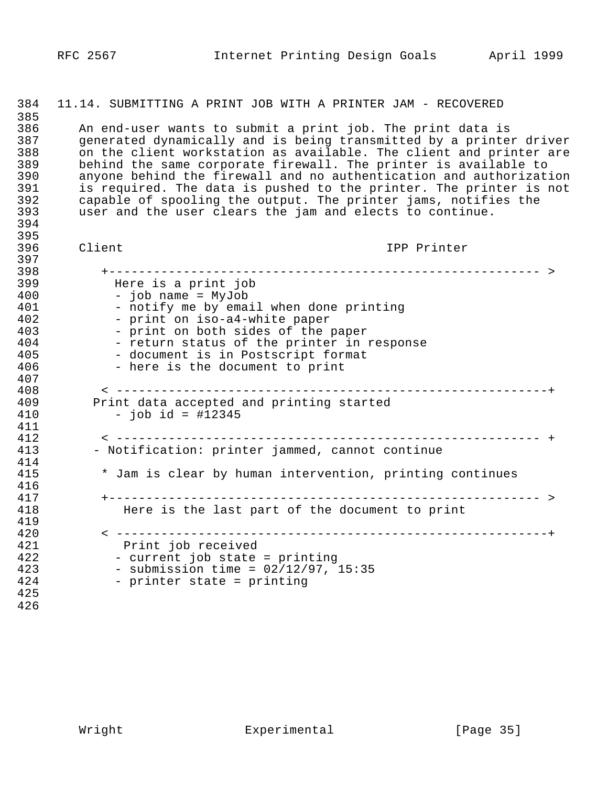### 1384 11.14. SUBMITTING A PRINT JOB WITH A PRINTER JAM - RECOVERED

385<br>386 1386 An end-user wants to submit a print job. The print data is 1387 generated dynamically and is being transmitted by a printer driver 388 on the client workstation as available. The client and printer are<br>389 behind the same corporate firewall. The printer is available to 1389 behind the same corporate firewall. The printer is available to 1390 anyone behind the firewall and no authentication and authorization<br>191 is required. The data is pushed to the printer. The printer is not 391 is required. The data is pushed to the printer. The printer is not<br>392 capable of spooling the output. The printer jams, notifies the 1392 capable of spooling the output. The printer jams, notifies the user and the user clears the jam and elects to continue.

1394 395<br>396

1397

1396 Client IPP Printer

| 398 |                                                          |
|-----|----------------------------------------------------------|
| 399 | Here is a print job                                      |
| 400 | - job name = MyJob                                       |
| 401 | - notify me by email when done printing                  |
| 402 | - print on iso-a4-white paper                            |
| 403 | - print on both sides of the paper                       |
| 404 | - return status of the printer in response               |
| 405 | - document is in Postscript format                       |
| 406 | - here is the document to print                          |
| 407 |                                                          |
| 408 |                                                          |
| 409 | Print data accepted and printing started                 |
| 410 | $-$ job id = #12345                                      |
| 411 |                                                          |
| 412 |                                                          |
| 413 | - Notification: printer jammed, cannot continue          |
| 414 |                                                          |
| 415 | * Jam is clear by human intervention, printing continues |
| 416 |                                                          |
| 417 |                                                          |
| 418 | Here is the last part of the document to print           |
| 419 |                                                          |
| 420 |                                                          |
| 421 | Print job received                                       |
| 422 | - current job state = printing                           |
| 423 | - submission time = $02/12/97$ , 15:35                   |
| 424 | - printer state = printing                               |
| 425 |                                                          |
| 426 |                                                          |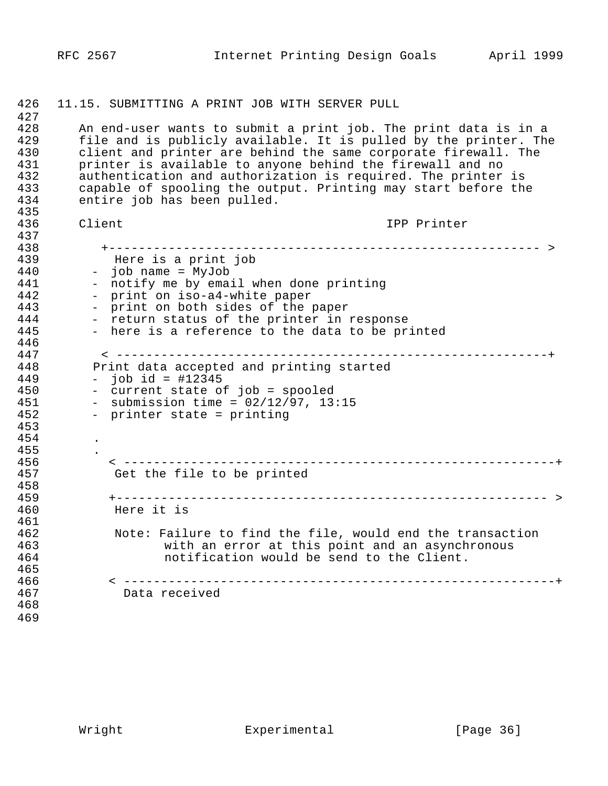427<br>428 428 An end-user wants to submit a print job. The print data is in a<br>429 file and is publicly available. It is pulled by the printer. The 429 file and is publicly available. It is pulled by the printer. The<br>430 client and printer are behind the same corporate firewall. The 430 client and printer are behind the same corporate firewall. The<br>431 printer is available to anyone behind the firewall and no 431 printer is available to anyone behind the firewall and no<br>432 authentication and authorization is required. The printer 432 authentication and authorization is required. The printer is<br>433 capable of spooling the output. Printing may start before the 433 capable of spooling the output. Printing may start before the<br>434 entire job has been pulled. entire job has been pulled. 435<br>436 1436 Client IPP Printer 437<br>438 1438 +---------------------------------------------------------- > 1439 Here is a print job 1440 - job name = MyJob 441 - notify me by email when done printing<br>442 - print on iso-a4-white paper 442 - print on iso-a4-white paper<br>443 - print on both sides of the p 443 - print on both sides of the paper<br>444 - return status of the printer in:  $144$  - return status of the printer in response<br>445 - here is a reference to the data to be pr. - here is a reference to the data to be printed 446<br>447 1447 < ----------------------------------------------------------+ 448 Print data accepted and printing started<br>449 - iob id = #12345 1449 - job id = #12345 450 - current state of job = spooled<br>451 - submission time = 02/12/97, 13 451 - submission time =  $02/12/97$ , 13:15<br>452 - printer state = printing - printer state = printing 1453 1454 . 455<br>456 1456 < ----------------------------------------------------------+ Get the file to be printed 458<br>459 1459 +---------------------------------------------------------- > Here it is 461<br>462 462 Note: Failure to find the file, would end the transaction<br>463 with an error at this point and an asynchronous 463 with an error at this point and an asynchronous<br>464 hotification would be send to the Client. notification would be send to the Client. 465<br>466 1466 < ----------------------------------------------------------+ Data received 1468 1469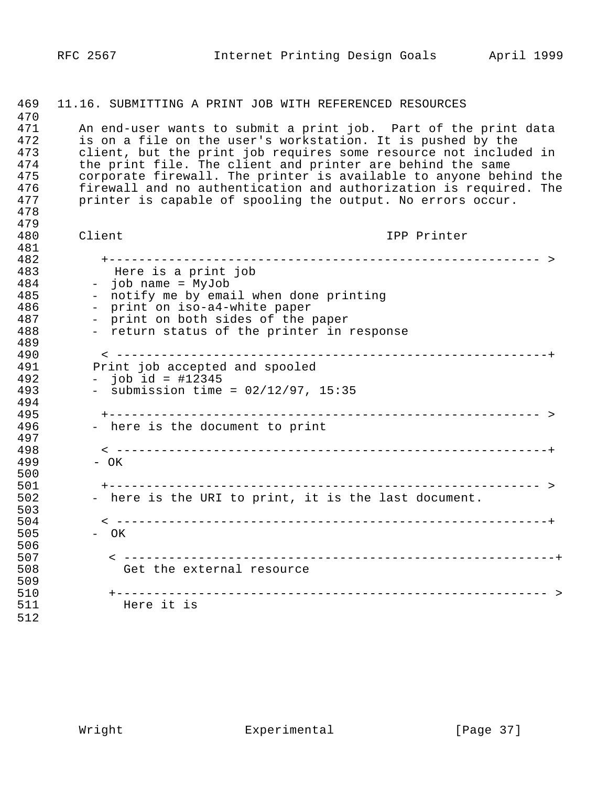| 469 | 11.16. SUBMITTING A PRINT JOB WITH REFERENCED RESOURCES           |
|-----|-------------------------------------------------------------------|
| 470 |                                                                   |
| 471 | An end-user wants to submit a print job. Part of the print data   |
| 472 | is on a file on the user's workstation. It is pushed by the       |
| 473 | client, but the print job requires some resource not included in  |
| 474 | the print file. The client and printer are behind the same        |
| 475 | corporate firewall. The printer is available to anyone behind the |
| 476 | firewall and no authentication and authorization is required. The |
| 477 | printer is capable of spooling the output. No errors occur.       |
| 478 |                                                                   |
| 479 |                                                                   |
| 480 | Client<br>IPP Printer                                             |
| 481 |                                                                   |
| 482 |                                                                   |
| 483 | Here is a print job                                               |
| 484 | job name = MyJob                                                  |
| 485 | - notify me by email when done printing                           |
| 486 | print on iso-a4-white paper                                       |
| 487 | - print on both sides of the paper                                |
| 488 | - return status of the printer in response                        |
| 489 |                                                                   |
| 490 |                                                                   |
| 491 | Print job accepted and spooled                                    |
| 492 | - job id = $\#12345$                                              |
| 493 | - submission time = $02/12/97$ , 15:35                            |
| 494 |                                                                   |
| 495 |                                                                   |
| 496 | - here is the document to print                                   |
| 497 |                                                                   |
| 498 |                                                                   |
| 499 | - OK                                                              |
| 500 |                                                                   |
| 501 |                                                                   |
| 502 | - here is the URI to print, it is the last document.              |
| 503 |                                                                   |
| 504 |                                                                   |
| 505 | - OK                                                              |
| 506 |                                                                   |
| 507 |                                                                   |
| 508 | Get the external resource                                         |
|     |                                                                   |
| 509 |                                                                   |
| 510 |                                                                   |
| 511 | Here it is                                                        |
| 512 |                                                                   |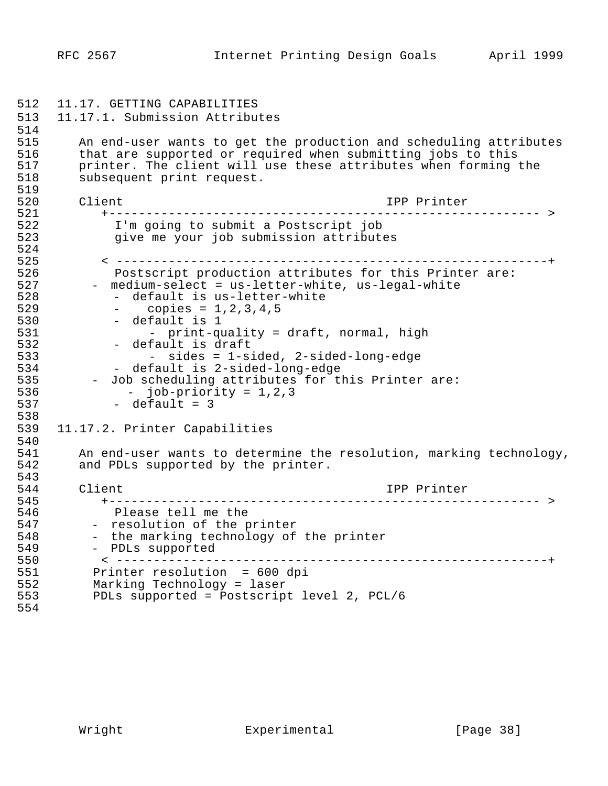1512 11.17. GETTING CAPABILITIES 1513 11.17.1. Submission Attributes 514<br>515 515 An end-user wants to get the production and scheduling attributes<br>516 that are supported or required when submitting jobs to this 516 that are supported or required when submitting jobs to this<br>517 printer. The client will use these attributes when forming to printer. The client will use these attributes when forming the 518 subsequent print request. 519<br>520 1520 Client IPP Printer 1521 +---------------------------------------------------------- > 1522 I'm going to submit a Postscript job give me your job submission attributes 524<br>525 1525 < ----------------------------------------------------------+ 1526 Postscript production attributes for this Printer are: 527 - medium-select = us-letter-white, us-legal-white<br>528 - default is us-letter-white - default is us-letter-white 529 - copies = 1,2,3,4,5<br>530 - default is 1 1530 - default is 1<br>1531 - print-qu 531 - print-quality = draft, normal, high<br>532 - default is draft 532 - default is draft<br>533 - sides = 1-s: 1533 - sides = 1-sided, 2-sided-long-edge 534 - default is 2-sided-long-edge<br>535 - Job scheduling attributes for th 535 - Job scheduling attributes for this Printer are:<br>536 - iob-priority = 1,2,3  $536$  - job-priority = 1,2,3<br> $537$  - default = 3  $-$  default = 3 538<br>539 11.17.2. Printer Capabilities 540<br>541 541 An end-user wants to determine the resolution, marking technology,<br>542 and PDLs supported by the printer. and PDLs supported by the printer. 543<br>544 1544 Client IPP Printer 1545 +---------------------------------------------------------- > 546 Please tell me the<br>547 - resolution of the p 1547 - resolution of the printer<br>1548 - the marking technology of 548 - the marking technology of the printer<br>549 - PDLs supported - PDLs supported 1550 < ----------------------------------------------------------+ 1551 Printer resolution = 600 dpi<br>1552 Marking Technology = laser 1552 Marking Technology = laser PDLs supported = Postscript level 2, PCL/6 1554

RFC 2567 Internet Printing Design Goals April 1999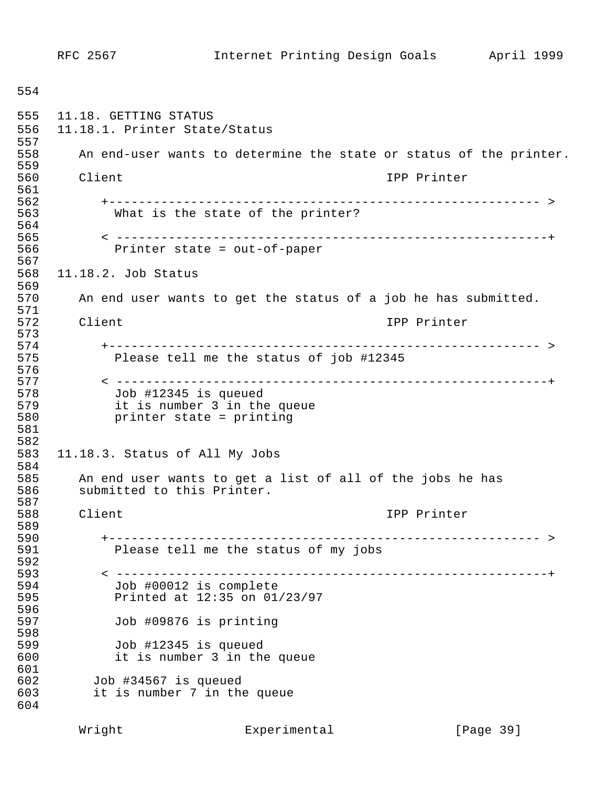1554 1555 11.18. GETTING STATUS 1556 11.18.1. Printer State/Status 557<br>558 An end-user wants to determine the state or status of the printer. 1559 1560 Client IPP Printer 561<br>562 1562 +---------------------------------------------------------- > What is the state of the printer? 564<br>565 1565 < ----------------------------------------------------------+ Printer state =  $out-of-paper$ 567<br>568 11.18.2. Job Status 1569 1570 An end user wants to get the status of a job he has submitted. 571<br>572 Client **1572 Client** IPP Printer 573<br>574 1574 +---------------------------------------------------------- > Please tell me the status of job #12345 576<br>577 1577 < ----------------------------------------------------------+ 1578 Job #12345 is queued 579 it is number 3 in the queue<br>580 printer state = printing printer state = printing 1581 1582 1583 11.18.3. Status of All My Jobs 1584 1585 An end user wants to get a list of all of the jobs he has submitted to this Printer. 587<br>588 Client **1588 Client** IPP Printer 589<br>590 1590 +---------------------------------------------------------- > Please tell me the status of my jobs 592<br>593 1593 < ----------------------------------------------------------+ 594 Job #00012 is complete<br>595 Printed at 12:35 on 01. Printed at 12:35 on 01/23/97 596<br>597 Job #09876 is printing 598<br>599 1599 Job #12345 is queued it is number 3 in the queue 601<br>602 1602 Job #34567 is queued it is number 7 in the queue 1604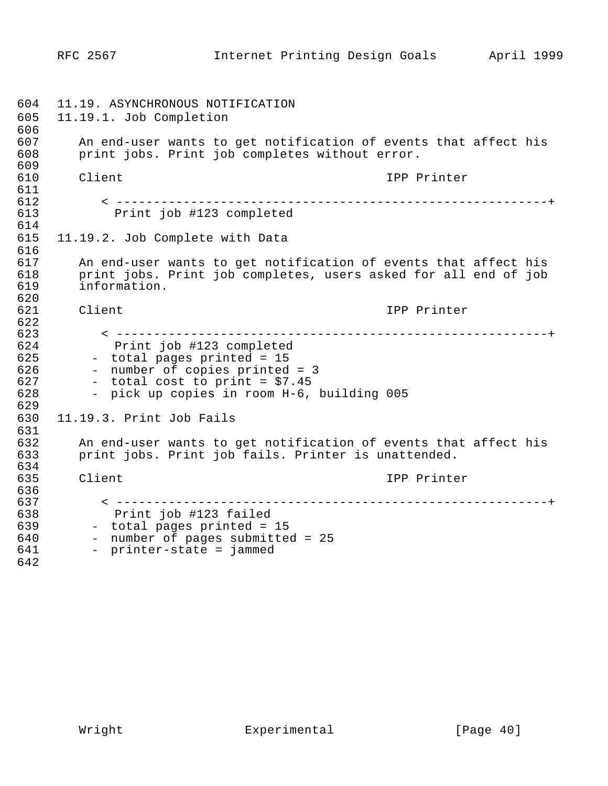1604 11.19. ASYNCHRONOUS NOTIFICATION 1605 11.19.1. Job Completion 606<br>607 607 An end-user wants to get notification of events that affect his<br>608 brint jobs. Print job completes without error. print jobs. Print job completes without error. 1609 1610 Client IPP Printer 611<br>612 1612 < ----------------------------------------------------------+ Print job #123 completed 1614 1615 11.19.2. Job Complete with Data 616<br>617 617 an end-user wants to get notification of events that affect his<br>618 brint jobs. Print job completes, users asked for all end of job 618 print jobs. Print job completes, users asked for all end of job<br>619 information. information. 620<br>621 1621 Client IPP Printer 622<br>623 1623 < ----------------------------------------------------------+ 1624 Print job #123 completed 625 - total pages printed = 15<br>626 - number of copies printed 626 - number of copies printed = 3<br>627 - total cost to print = \$7.45  $627$  - total cost to print = \$7.45<br> $628$  - pick up copies in room H-6, - pick up copies in room H-6, building 005 1629 1630 11.19.3. Print Job Fails 631<br>632 1632 An end-user wants to get notification of events that affect his print jobs. Print job fails. Printer is unattended. 634<br>635 1635 Client IPP Printer 636<br>637 1637 < ----------------------------------------------------------+ 1638 Print job #123 failed 639 - total pages printed = 15<br>640 - number of pages submitted 640 - number of pages submitted = 25<br>641 - printer-state = jammed - printer-state = jammed 1642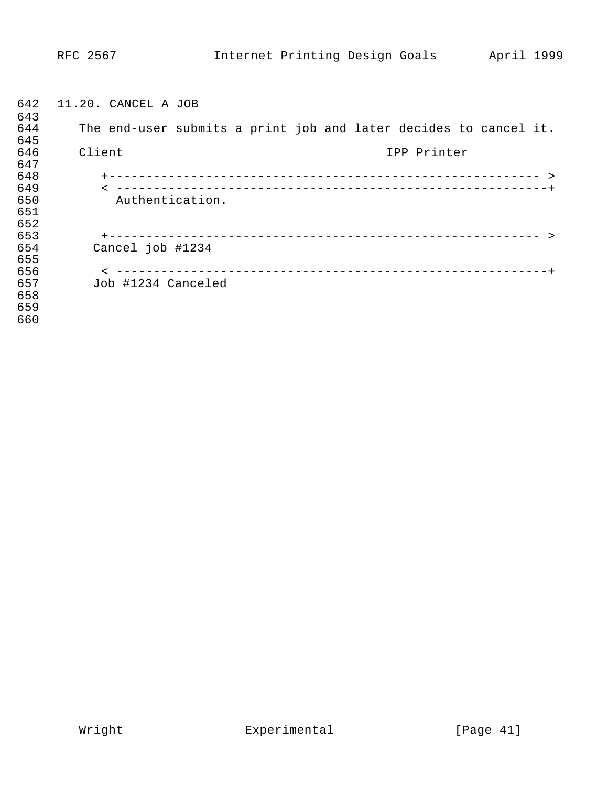| 642 | 11.20. CANCEL A JOB                                              |
|-----|------------------------------------------------------------------|
| 643 |                                                                  |
| 644 | The end-user submits a print job and later decides to cancel it. |
| 645 |                                                                  |
| 646 | Client<br>IPP Printer                                            |
| 647 |                                                                  |
| 648 |                                                                  |
| 649 |                                                                  |
| 650 | Authentication.                                                  |
| 651 |                                                                  |
| 652 |                                                                  |
| 653 |                                                                  |
| 654 | Cancel job #1234                                                 |
| 655 |                                                                  |
| 656 |                                                                  |
| 657 | Job #1234 Canceled                                               |
| 658 |                                                                  |
| 659 |                                                                  |
| 660 |                                                                  |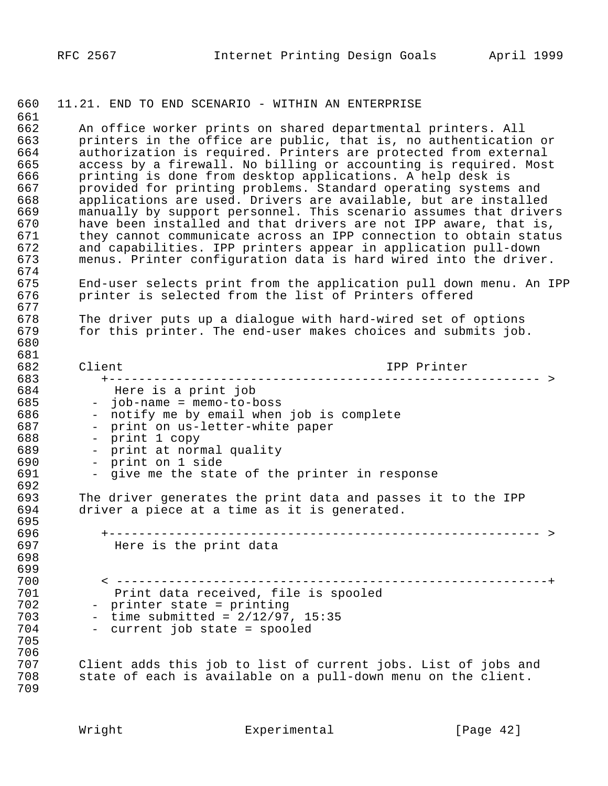#### 1660 11.21. END TO END SCENARIO - WITHIN AN ENTERPRISE

661<br>662 662 An office worker prints on shared departmental printers. All<br>663 brinters in the office are public, that is, no authentication 663 printers in the office are public, that is, no authentication or<br>664 authorization is required. Printers are protected from external 664 authorization is required. Printers are protected from external<br>665 access by a firewall. No billing or accounting is required. Most 665 access by a firewall. No billing or accounting is required. Most<br>666 printing is done from desktop applications. A help desk is 666 printing is done from desktop applications. A help desk is<br>667 brovided for printing problems. Standard operating systems 667 provided for printing problems. Standard operating systems and<br>668 applications are used. Drivers are available, but are installed 668 applications are used. Drivers are available, but are installed<br>669 manually by support personnel. This scenario assumes that driver 669 manually by support personnel. This scenario assumes that drivers<br>670 have been installed and that drivers are not IPP aware, that is, 670 have been installed and that drivers are not IPP aware, that is,<br>671 they cannot communicate across an IPP connection to obtain statu 671 they cannot communicate across an IPP connection to obtain status<br>672 and capabilities. IPP printers appear in application pull-down 672 and capabilities. IPP printers appear in application pull-down<br>673 menus. Printer configuration data is hard wired into the drive: menus. Printer configuration data is hard wired into the driver. 674<br>675 675 End-user selects print from the application pull down menu. An IPP<br>676 printer is selected from the list of Printers offered printer is selected from the list of Printers offered 677<br>678 678 The driver puts up a dialogue with hard-wired set of options<br>679 for this printer. The end-user makes choices and submits job for this printer. The end-user makes choices and submits job. 1680 681<br>682 1682 Client IPP Printer 1683 +---------------------------------------------------------- > 1684 Here is a print job 1685 - job-name = memo-to-boss 686 - notify me by email when job is complete<br>687 - print on us-letter-white paper 687 - print on us-letter-white paper<br>688 - print 1 copy - print 1 copy 689 - print at normal quality<br>690 - print on 1 side 690 - print on 1 side<br>691 - give me the stat - give me the state of the printer in response 692<br>693 693 The driver generates the print data and passes it to the IPP<br>694 driver a piece at a time as it is generated. driver a piece at a time as it is generated. 695<br>696 1696 +---------------------------------------------------------- > Here is the print data 1698 1699 1700 < ----------------------------------------------------------+ 701 Print data received, file is spooled<br>102 - printer state = printing 702 - printer state = printing<br>703 - time submitted = 2/12/97,  $703$  - time submitted =  $2/12/97$ , 15:35<br> $704$  - current iob state = spooled - current job state = spooled 1705 706<br>707 1707 Client adds this job to list of current jobs. List of jobs and state of each is available on a pull-down menu on the client. 1709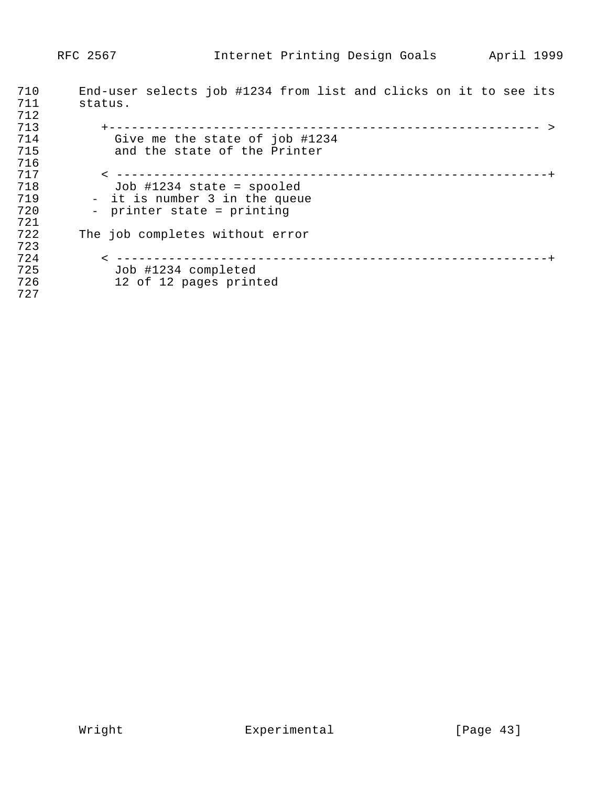| 710 | End-user selects job #1234 from list and clicks on it to see its |
|-----|------------------------------------------------------------------|
| 711 | status.                                                          |
| 712 |                                                                  |
| 713 | ---------------------------------                                |
| 714 | Give me the state of job #1234                                   |
| 715 | and the state of the Printer                                     |
| 716 |                                                                  |
| 717 |                                                                  |
| 718 | Job $\#1234$ state = spooled                                     |
| 719 | - it is number 3 in the queue                                    |
| 720 | - printer state = printing                                       |
| 721 |                                                                  |
| 722 | The job completes without error                                  |
| 723 |                                                                  |
| 724 | ------------------------------                                   |
| 725 | Job #1234 completed                                              |
| 726 | 12 of 12 pages printed                                           |
| 727 |                                                                  |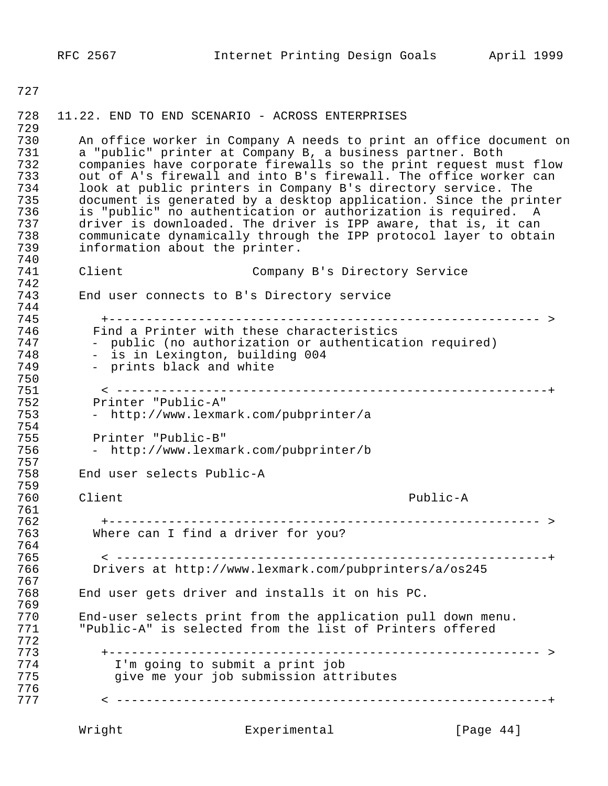1727

## 1729 730 An office worker in Company A needs to print an office document on<br>731 a "public" printer at Company B, a business partner. Both 731 a "public" printer at Company B, a business partner. Both<br>732 companies have corporate firewalls so the print request mu 732 companies have corporate firewalls so the print request must flow<br>733 out of A's firewall and into B's firewall. The office worker can 733 out of A's firewall and into B's firewall. The office worker can<br>734 – look at public printers in Company B's directory service. The 734 look at public printers in Company B's directory service. The<br>735 document is generated by a desktop application. Since the prin 735 document is generated by a desktop application. Since the printer<br>736 is "public" no authentication or authorization is required. A 736 is "public" no authentication or authorization is required. A<br>737 driver is downloaded. The driver is IPP aware, that is, it can 737 driver is downloaded. The driver is IPP aware, that is, it can<br>738 – communicate dynamically through the IPP protocol layer to obta:

1728 11.22. END TO END SCENARIO - ACROSS ENTERPRISES

information about the printer.

740<br>741 Client Company B's Directory Service 742<br>743 End user connects to B's Directory service 744<br>745 1745 +---------------------------------------------------------- > 746 Find a Printer with these characteristics<br>747 The public (no authorization or authenticat 747 - public (no authorization or authentication required)<br>748 - is in Lexington, building 004 748 - is in Lexington, building 004<br>749 - prints black and white - prints black and white 750<br>751 1751 < ----------------------------------------------------------+ 752 Printer "Public-A"<br>753 - http://www.lexma - http://www.lexmark.com/pubprinter/a 754<br>755 755 Printer "Public-B"<br>756 - http://www.lexma 1756 - http://www.lexmark.com/pubprinter/b 757<br>758 End user selects Public-A 759<br>760 Client Public-A 761<br>762 1762 +---------------------------------------------------------- > Where can I find a driver for you? 764<br>765 1765 < ----------------------------------------------------------+ 1766 Drivers at http://www.lexmark.com/pubprinters/a/os245 767<br>768 End user gets driver and installs it on his PC. 769<br>770 770 End-user selects print from the application pull down menu.<br>771 Public-A" is selected from the list of Printers offered "Public-A" is selected from the list of Printers offered 1772 1773 +---------------------------------------------------------- > 1774 I'm going to submit a print job give me your job submission attributes 776<br>777 1777 < ----------------------------------------------------------+

738 communicate dynamically through the IPP protocol layer to obtain<br>739 information about the printer.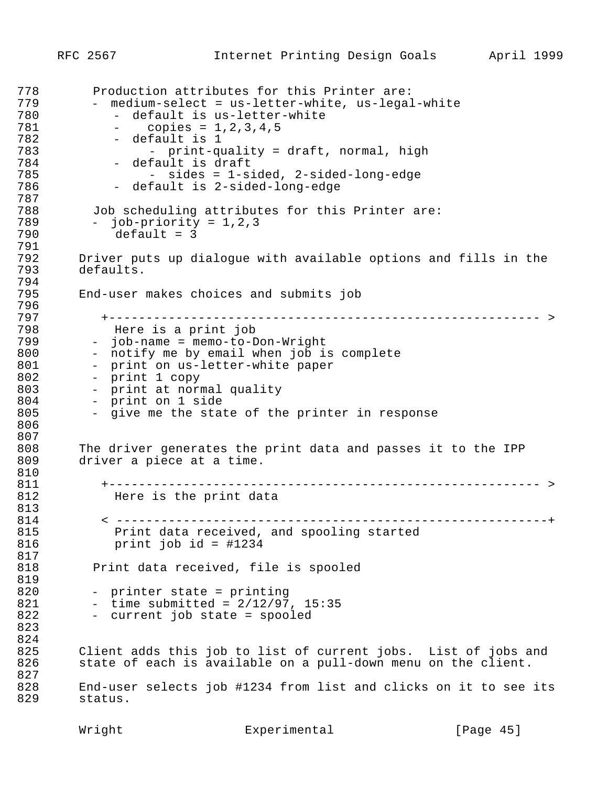```
778 Production attributes for this Printer are:<br>779 - medium-select = us-letter-white, us-legal
779 - medium-select = us-letter-white, us-legal-white<br>780 - default is us-letter-white
780 - default is us-letter-white<br>781 - copies = 1,2,3,4,5
781 - copies = 1,2,3,4,5<br>782 - default is 1
192 - default is 1<br>193 - print-qu
783 - print-quality = draft, normal, high<br>784 - default is draft
784 - default is draft<br>785 - sides = 1-si
1785 - sides = 1-sided, 2-sided-long-edge
               - default is 2-sided-long-edge
787<br>788
788 Job scheduling attributes for this Printer are:<br>789 - iob-priority = 1,2,3
1789 - job-priority = 1,2,3
               default = 3791<br>792
1792 Driver puts up dialogue with available options and fills in the 
         defaults.
794<br>795
          End-user makes choices and submits job
796<br>797
1797 +---------------------------------------------------------- >
798 Here is a print job<br>799 - job-name = memo-to-D
799 - job-name = memo-to-Don-Wright<br>800 - notify me by email when job i
800 - notify me by email when job is complete<br>801 - print on us-letter-white paper
801 - print on us-letter-white paper<br>802 - print 1 copy
802 - print 1 copy<br>803 - print at norr
803 - print at normal quality<br>804 - print on 1 side
804 - print on 1 side<br>805 - give me the stat
            - give me the state of the printer in response
1806
807<br>808
          The driver generates the print data and passes it to the IPP
809 driver a piece at a time.
810<br>811
1811 +---------------------------------------------------------- >
               Here is the print data
813<br>814
1814 < ----------------------------------------------------------+
1815 Print data received, and spooling started
                print job id = \text{\#}1234817<br>818
            Print data received, file is spooled
1819
820 - printer state = printing
821 - time submitted = 2/12/97, 15:35<br>822 - current job state = spooled
            - current job state = spooled
1823
824<br>825
          Client adds this job to list of current jobs. List of jobs and
826 state of each is available on a pull-down menu on the client.
827<br>828
828 End-user selects job #1234 from list and clicks on it to see its<br>829 status.
          status.
```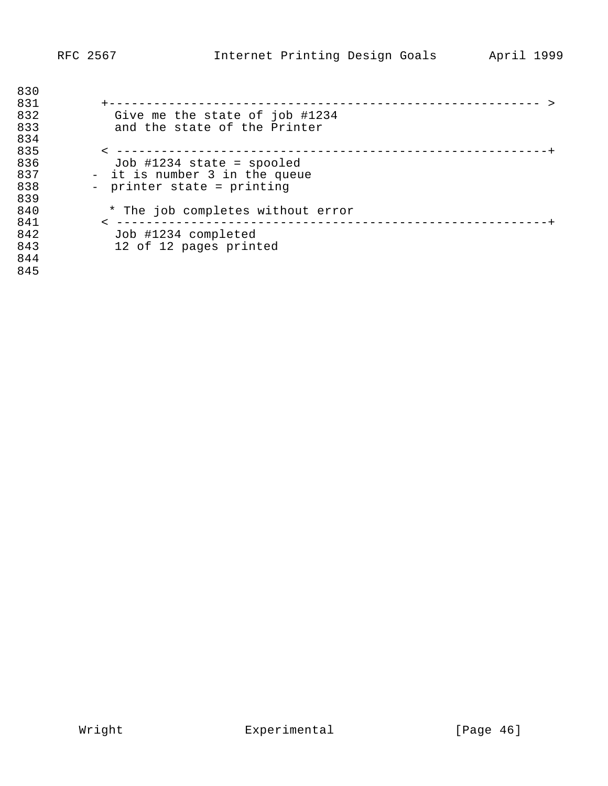| 830<br>831 | _____________                     |
|------------|-----------------------------------|
| 832        | Give me the state of job #1234    |
| 833        | and the state of the Printer      |
| 834        |                                   |
| 835        | ----------------------------      |
| 836        | Job #1234 state = spooled         |
| 837        | - it is number 3 in the queue     |
| 838        | - printer state = printing        |
| 839        |                                   |
| 840        | * The job completes without error |
| 841        | -------------------               |
| 842        | Job #1234 completed               |
| 843        | 12 of 12 pages printed            |
| 844        |                                   |
| 845        |                                   |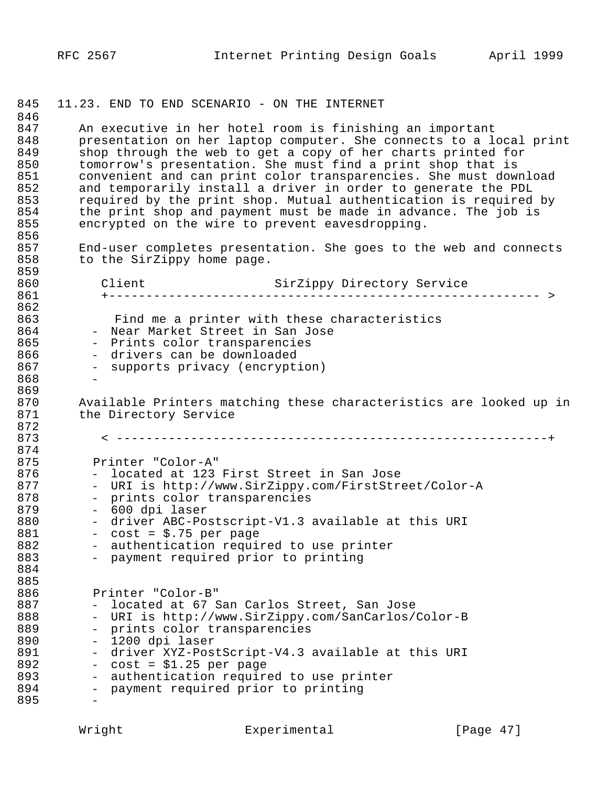845 11.23. END TO END SCENARIO - ON THE INTERNET 846<br>847 847 An executive in her hotel room is finishing an important<br>848 bresentation on her laptop computer. She connects to a lo 848 presentation on her laptop computer. She connects to a local print<br>849 shop through the web to get a copy of her charts printed for 849 shop through the web to get a copy of her charts printed for<br>850 tomorrow's presentation. She must find a print shop that is 850 tomorrow's presentation. She must find a print shop that is<br>851 convenient and can print color transparencies. She must dowl 851 convenient and can print color transparencies. She must download<br>852 and temporarily install a driver in order to generate the PDL 852 and temporarily install a driver in order to generate the PDL<br>853 required by the print shop. Mutual authentication is required 853 required by the print shop. Mutual authentication is required by<br>854 the print shop and payment must be made in advance. The job is 854 the print shop and payment must be made in advance. The job is<br>855 encrypted on the wire to prevent eavesdropping. encrypted on the wire to prevent eavesdropping. 856<br>857 857 End-user completes presentation. She goes to the web and connects<br>858 to the SirZippy home page. to the SirZippy home page. 859<br>860 1860 Client SirZippy Directory Service 1861 +---------------------------------------------------------- > 1862 863 Find me a printer with these characteristics<br>864 - Near Market Street in San Jose 1864 - Near Market Street in San Jose<br>1865 - Prints color transparencies 865 - Prints color transparencies<br>866 - drivers can be downloaded 866 - drivers can be downloaded<br>867 - supports privacy (encrypt. - supports privacy (encryption) 868 -869<br>870 870 Available Printers matching these characteristics are looked up in<br>871 the Directory Service Available Filmers<br>the Directory Service 872<br>873 1873 < ----------------------------------------------------------+ 874<br>875 1875 Printer "Color-A" 876 - located at 123 First Street in San Jose<br>877 - URI is http://www.SirZippy.com/FirstStre 877 - URI is http://www.SirZippy.com/FirstStreet/Color-A<br>878 - prints color transparencies 878 - prints color transparencies<br>879 - 600 dpi laser 879 - 600 dpi laser<br>1880 - driver ABC-Pos 880 - driver ABC-Postscript-V1.3 available at this URI<br>881 - cost = \$.75 per page 881 - cost = \$.75 per page<br>882 - authentication requir 882 - authentication required to use printer<br>883 - payment required prior to printing - payment required prior to printing 1884 885<br>886 1886 Printer "Color-B" 887 - located at 67 San Carlos Street, San Jose<br>888 - URI is http://www.SirZippy.com/SanCarlos/ 888 - URI is http://www.SirZippy.com/SanCarlos/Color-B<br>889 - prints color transparencies 889 - prints color transparencies<br>890 - 1200 dpi laser 1890 - 1200 dpi laser 891 - driver XYZ-PostScript-V4.3 available at this URI<br>892 - cost = \$1.25 per page 892 - cost = \$1.25 per page<br>893 - authentication require 893 - authentication required to use printer<br>894 - payment required prior to printing payment required prior to printing 895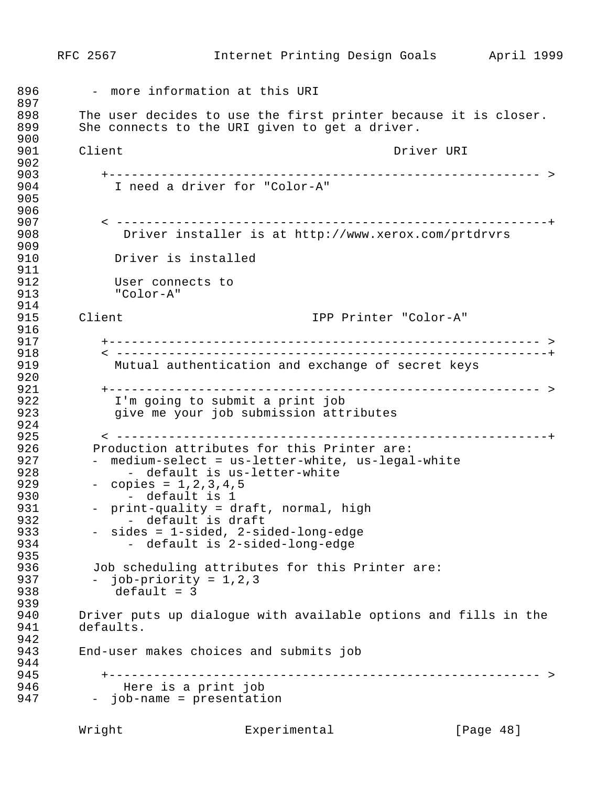```
RFC 2567 Internet Printing Design Goals April 1999
896 - more information at this URI
897<br>898
1898 The user decides to use the first printer because it is closer.<br>1899 She connects to the URI given to get a driver.
         She connects to the URI given to get a driver.
1900
901 Client Client Communist Communist Communist Communist Communist Communist Communist Communist Communist Co
902<br>903
1903 +---------------------------------------------------------- >
              I need a driver for "Color-A"
1905
906<br>907
1907 < ----------------------------------------------------------+
                Driver installer is at http://www.xerox.com/prtdrvrs
909<br>910
             Driver is installed
911<br>912
912 User connects to<br>913 TColor-A"
              1913 "Color-A"
914<br>915
         1915 Client IPP Printer "Color-A"
916<br>917
1917 +---------------------------------------------------------- >
1918 < ----------------------------------------------------------+
              Mutual authentication and exchange of secret keys
920<br>921
1921 +---------------------------------------------------------- >
1922 I'm going to submit a print job
               give me your job submission attributes
924<br>925
1925 < ----------------------------------------------------------+
926 Production attributes for this Printer are:<br>927 - medium-select = us-letter-white, us-legal
927 - medium-select = us-letter-white, us-legal-white<br>928 - default is us-letter-white
928 - default is us-letter-white<br>929 - copies = 1,2,3,4,5
929 - copies = 1,2,3,4,5<br>930 - default is 1
930 - default is 1<br>
931 - print-quality = d
931 - print-quality = draft, normal, high<br>932 - default is draft
1932 - default is draft
1933 - sides = 1-sided, 2-sided-long-edge
               - default is 2-sided-long-edge
935<br>936
936 Job scheduling attributes for this Printer are:<br>937 - iob-priority = 1,2,3
937 - job-priority = 1, 2, 3<br>938 - default = 3default = 3939<br>940
940 Driver puts up dialogue with available options and fills in the 941
         defaults.
942<br>943
         1943 End-user makes choices and submits job
944<br>945
1945 +---------------------------------------------------------- >
1946 Here is a print job
           - job-name = presentation
```